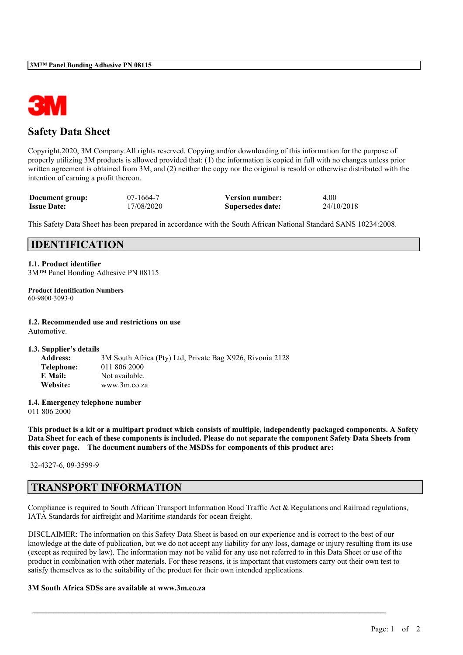

# **Safety Data Sheet**

Copyright,2020, 3M Company.All rights reserved. Copying and/or downloading of this information for the purpose of properly utilizing 3M products is allowed provided that: (1) the information is copied in full with no changes unless prior written agreement is obtained from 3M, and (2) neither the copy nor the original is resold or otherwise distributed with the intention of earning a profit thereon.

| Document group:    | $07-1664-7$ | <b>Version number:</b> | 4.00       |
|--------------------|-------------|------------------------|------------|
| <b>Issue Date:</b> | 17/08/2020  | Supersedes date:       | 24/10/2018 |

This Safety Data Sheet has been prepared in accordance with the South African National Standard SANS 10234:2008.

# **IDENTIFICATION**

**1.1. Product identifier** 3M™ Panel Bonding Adhesive PN 08115

**Product Identification Numbers** 60-9800-3093-0

#### **1.2. Recommended use and restrictions on use**

Automotive.

### **1.3. Supplier's details Address:** 3M South Africa (Pty) Ltd, Private Bag X926, Rivonia 2128 **Telephone:** 011 806 2000 **E Mail:** Not available. **Website:** www.3m.co.za

#### **1.4. Emergency telephone number**

011 806 2000

This product is a kit or a multipart product which consists of multiple, independently packaged components. A Safety Data Sheet for each of these components is included. Please do not separate the component Safety Data Sheets from **this cover page. The document numbers of the MSDSs for components of this product are:**

32-4327-6, 09-3599-9

# **TRANSPORT INFORMATION**

Compliance is required to South African Transport Information Road Traffic Act & Regulations and Railroad regulations, IATA Standards for airfreight and Maritime standards for ocean freight.

DISCLAIMER: The information on this Safety Data Sheet is based on our experience and is correct to the best of our knowledge at the date of publication, but we do not accept any liability for any loss, damage or injury resulting from its use (except as required by law). The information may not be valid for any use not referred to in this Data Sheet or use of the product in combination with other materials. For these reasons, it is important that customers carry out their own test to satisfy themselves as to the suitability of the product for their own intended applications.

 $\mathcal{L}_\mathcal{L} = \mathcal{L}_\mathcal{L} = \mathcal{L}_\mathcal{L} = \mathcal{L}_\mathcal{L} = \mathcal{L}_\mathcal{L} = \mathcal{L}_\mathcal{L} = \mathcal{L}_\mathcal{L} = \mathcal{L}_\mathcal{L} = \mathcal{L}_\mathcal{L} = \mathcal{L}_\mathcal{L} = \mathcal{L}_\mathcal{L} = \mathcal{L}_\mathcal{L} = \mathcal{L}_\mathcal{L} = \mathcal{L}_\mathcal{L} = \mathcal{L}_\mathcal{L} = \mathcal{L}_\mathcal{L} = \mathcal{L}_\mathcal{L}$ 

### **3M South Africa SDSs are available at www.3m.co.za**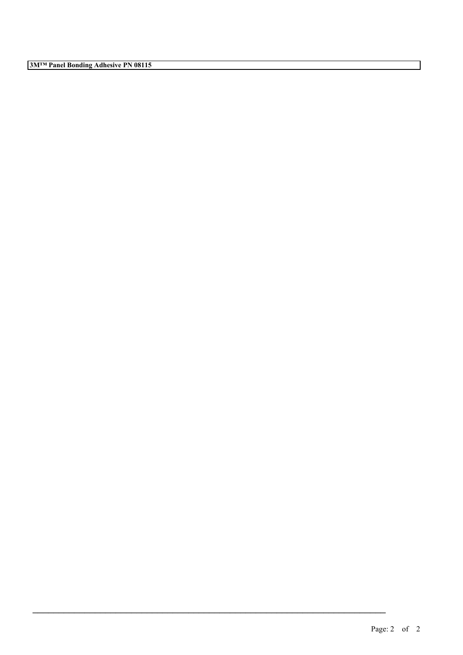**3M™ Panel Bonding Adhesive PN 08115**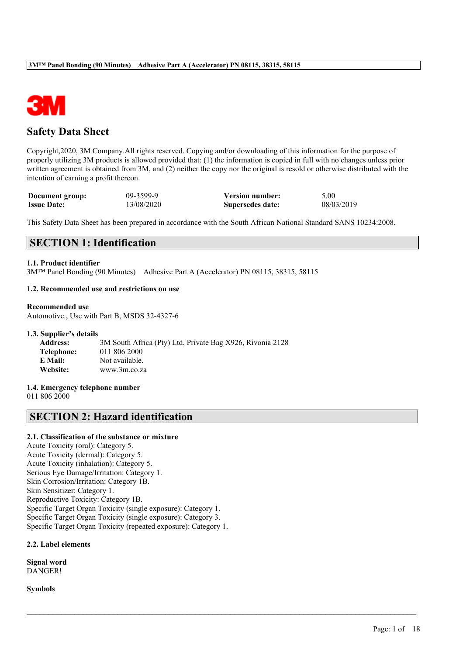

# **Safety Data Sheet**

Copyright,2020, 3M Company.All rights reserved. Copying and/or downloading of this information for the purpose of properly utilizing 3M products is allowed provided that: (1) the information is copied in full with no changes unless prior written agreement is obtained from 3M, and (2) neither the copy nor the original is resold or otherwise distributed with the intention of earning a profit thereon.

| Document group:    | 09-3599-9  | <b>Version number:</b> | 5.00       |
|--------------------|------------|------------------------|------------|
| <b>Issue Date:</b> | 13/08/2020 | Supersedes date:       | 08/03/2019 |

This Safety Data Sheet has been prepared in accordance with the South African National Standard SANS 10234:2008.

 $\mathcal{L}_\mathcal{L} = \mathcal{L}_\mathcal{L} = \mathcal{L}_\mathcal{L} = \mathcal{L}_\mathcal{L} = \mathcal{L}_\mathcal{L} = \mathcal{L}_\mathcal{L} = \mathcal{L}_\mathcal{L} = \mathcal{L}_\mathcal{L} = \mathcal{L}_\mathcal{L} = \mathcal{L}_\mathcal{L} = \mathcal{L}_\mathcal{L} = \mathcal{L}_\mathcal{L} = \mathcal{L}_\mathcal{L} = \mathcal{L}_\mathcal{L} = \mathcal{L}_\mathcal{L} = \mathcal{L}_\mathcal{L} = \mathcal{L}_\mathcal{L}$ 

# **SECTION 1: Identification**

#### **1.1. Product identifier**

3M™ Panel Bonding (90 Minutes) Adhesive Part A (Accelerator) PN 08115, 38315, 58115

#### **1.2. Recommended use and restrictions on use**

#### **Recommended use**

Automotive., Use with Part B, MSDS 32-4327-6

#### **1.3. Supplier's details**

| <b>Address:</b> | 3M South Africa (Pty) Ltd, Private Bag X926, Rivonia 2128 |
|-----------------|-----------------------------------------------------------|
| Telephone:      | 011 806 2000                                              |
| E Mail:         | Not available.                                            |
| Website:        | www.3m.co.za                                              |

### **1.4. Emergency telephone number**

011 806 2000

### **SECTION 2: Hazard identification**

#### **2.1. Classification of the substance or mixture**

Acute Toxicity (oral): Category 5. Acute Toxicity (dermal): Category 5. Acute Toxicity (inhalation): Category 5. Serious Eye Damage/Irritation: Category 1. Skin Corrosion/Irritation: Category 1B. Skin Sensitizer: Category 1. Reproductive Toxicity: Category 1B. Specific Target Organ Toxicity (single exposure): Category 1. Specific Target Organ Toxicity (single exposure): Category 3. Specific Target Organ Toxicity (repeated exposure): Category 1.

#### **2.2. Label elements**

**Signal word** DANGER!

**Symbols**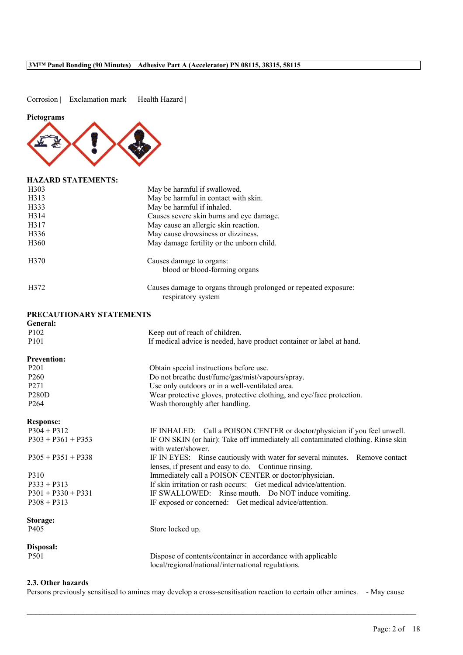Corrosion | Exclamation mark | Health Hazard |



| <b>HAZARD STATEMENTS:</b> |                                                                                                                   |  |  |
|---------------------------|-------------------------------------------------------------------------------------------------------------------|--|--|
| H <sub>30</sub> 3         | May be harmful if swallowed.                                                                                      |  |  |
| H313                      | May be harmful in contact with skin.                                                                              |  |  |
| H333                      | May be harmful if inhaled.                                                                                        |  |  |
| H314                      | Causes severe skin burns and eye damage.                                                                          |  |  |
| H317                      | May cause an allergic skin reaction.                                                                              |  |  |
| H336                      | May cause drowsiness or dizziness.                                                                                |  |  |
| H360                      | May damage fertility or the unborn child.                                                                         |  |  |
|                           |                                                                                                                   |  |  |
| H <sub>370</sub>          | Causes damage to organs:<br>blood or blood-forming organs                                                         |  |  |
| H372                      | Causes damage to organs through prolonged or repeated exposure:<br>respiratory system                             |  |  |
| PRECAUTIONARY STATEMENTS  |                                                                                                                   |  |  |
| <b>General:</b>           |                                                                                                                   |  |  |
| P <sub>102</sub>          | Keep out of reach of children.                                                                                    |  |  |
| P <sub>101</sub>          | If medical advice is needed, have product container or label at hand.                                             |  |  |
|                           |                                                                                                                   |  |  |
| <b>Prevention:</b>        |                                                                                                                   |  |  |
| P <sub>201</sub>          | Obtain special instructions before use.                                                                           |  |  |
| P <sub>260</sub>          | Do not breathe dust/fume/gas/mist/vapours/spray.                                                                  |  |  |
| P271                      | Use only outdoors or in a well-ventilated area.                                                                   |  |  |
| <b>P280D</b>              | Wear protective gloves, protective clothing, and eye/face protection.                                             |  |  |
| P <sub>264</sub>          | Wash thoroughly after handling.                                                                                   |  |  |
|                           |                                                                                                                   |  |  |
| <b>Response:</b>          |                                                                                                                   |  |  |
| $P304 + P312$             | IF INHALED: Call a POISON CENTER or doctor/physician if you feel unwell.                                          |  |  |
| $P303 + P361 + P353$      | IF ON SKIN (or hair): Take off immediately all contaminated clothing. Rinse skin                                  |  |  |
|                           | with water/shower.                                                                                                |  |  |
| $P305 + P351 + P338$      | IF IN EYES: Rinse cautiously with water for several minutes.<br>Remove contact                                    |  |  |
|                           | lenses, if present and easy to do. Continue rinsing.                                                              |  |  |
| P310                      | Immediately call a POISON CENTER or doctor/physician.                                                             |  |  |
| $P333 + P313$             | If skin irritation or rash occurs: Get medical advice/attention.                                                  |  |  |
| $P301 + P330 + P331$      | IF SWALLOWED: Rinse mouth. Do NOT induce vomiting.                                                                |  |  |
| $P308 + P313$             | IF exposed or concerned: Get medical advice/attention.                                                            |  |  |
| Storage:                  |                                                                                                                   |  |  |
| P <sub>405</sub>          | Store locked up.                                                                                                  |  |  |
| Disposal:<br>P501         | Dispose of contents/container in accordance with applicable<br>local/regional/national/international regulations. |  |  |

#### **2.3. Other hazards**

Persons previously sensitised to amines may develop a cross-sensitisation reaction to certain other amines. - May cause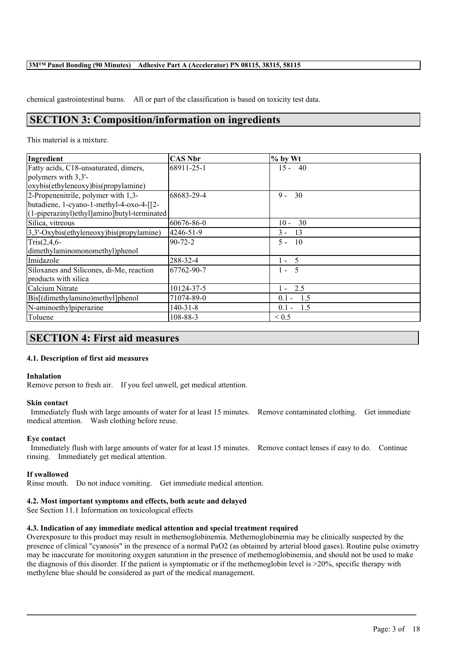chemical gastrointestinal burns. All or part of the classification is based on toxicity test data.

# **SECTION 3: Composition/information on ingredients**

This material is a mixture.

| Ingredient                                  | <b>CAS Nbr</b> | $%$ by Wt       |
|---------------------------------------------|----------------|-----------------|
| Fatty acids, C18-unsaturated, dimers,       | 68911-25-1     | $15 - 40$       |
| polymers with 3,3'-                         |                |                 |
| oxybis(ethyleneoxy)bis(propylamine)         |                |                 |
| 2-Propenenitrile, polymer with 1,3-         | 68683-29-4     | 30<br>$9 -$     |
| butadiene, 1-cyano-1-methyl-4-oxo-4-[[2-    |                |                 |
| (1-piperazinyl)ethyl]amino]butyl-terminated |                |                 |
| Silica, vitreous                            | 60676-86-0     | 30<br>$10 -$    |
| 3,3'-Oxybis(ethyleneoxy)bis(propylamine)    | 4246-51-9      | $3 -$<br>-13    |
| $Tris(2, 4, 6 -$                            | $90 - 72 - 2$  | -10<br>$5 -$    |
| dimethylaminomonomethyl)phenol              |                |                 |
| Imidazole                                   | 288-32-4       | $1 - 5$         |
| Siloxanes and Silicones, di-Me, reaction    | 67762-90-7     | 5<br>$1 -$      |
| products with silica                        |                |                 |
| Calcium Nitrate                             | 10124-37-5     | 2.5<br>1 -      |
| Bis[(dimethylamino)methyl]phenol            | 71074-89-0     | -1.5<br>$0.1 -$ |
| N-aminoethylpiperazine                      | 140-31-8       | 1.5<br>$0.1 -$  |
| Toluene                                     | 108-88-3       | ${}_{0.5}$      |

# **SECTION 4: First aid measures**

#### **4.1. Description of first aid measures**

#### **Inhalation**

Remove person to fresh air. If you feel unwell, get medical attention.

#### **Skin contact**

Immediately flush with large amounts of water for at least 15 minutes. Remove contaminated clothing. Get immediate medical attention. Wash clothing before reuse.

#### **Eye contact**

Immediately flush with large amounts of water for at least 15 minutes. Remove contact lenses if easy to do. Continue rinsing. Immediately get medical attention.

#### **If swallowed**

Rinse mouth. Do not induce vomiting. Get immediate medical attention.

#### **4.2. Most important symptoms and effects, both acute and delayed**

See Section 11.1 Information on toxicological effects

#### **4.3. Indication of any immediate medical attention and special treatment required**

Overexposure to this product may result in methemoglobinemia. Methemoglobinemia may be clinically suspected by the presence of clinical "cyanosis" in the presence of a normal PaO2 (as obtained by arterial blood gases). Routine pulse oximetry may be inaccurate for monitoring oxygen saturation in the presence of methemoglobinemia, and should not be used to make the diagnosis of this disorder. If the patient is symptomatic or if the methemoglobin level is  $>20\%$ , specific therapy with methylene blue should be considered as part of the medical management.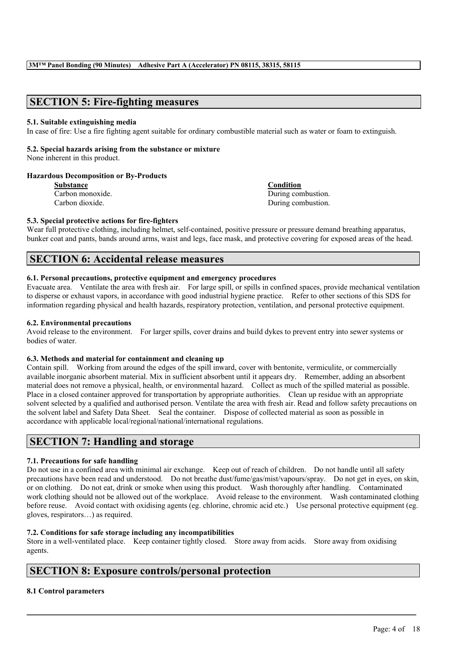# **SECTION 5: Fire-fighting measures**

#### **5.1. Suitable extinguishing media**

In case of fire: Use a fire fighting agent suitable for ordinary combustible material such as water or foam to extinguish.

# **5.2. Special hazards arising from the substance or mixture**

None inherent in this product.

#### **Hazardous Decomposition or By-Products**

**Substance Condition**

Carbon monoxide. During combustion. Carbon dioxide. During combustion.

#### **5.3. Special protective actions for fire-fighters**

Wear full protective clothing, including helmet, self-contained, positive pressure or pressure demand breathing apparatus, bunker coat and pants, bands around arms, waist and legs, face mask, and protective covering for exposed areas of the head.

### **SECTION 6: Accidental release measures**

### **6.1. Personal precautions, protective equipment and emergency procedures**

Evacuate area. Ventilate the area with fresh air. For large spill, or spills in confined spaces, provide mechanical ventilation to disperse or exhaust vapors, in accordance with good industrial hygiene practice. Refer to other sections of this SDS for information regarding physical and health hazards, respiratory protection, ventilation, and personal protective equipment.

#### **6.2. Environmental precautions**

Avoid release to the environment. For larger spills, cover drains and build dykes to prevent entry into sewer systems or bodies of water.

#### **6.3. Methods and material for containment and cleaning up**

Contain spill. Working from around the edges of the spill inward, cover with bentonite, vermiculite, or commercially available inorganic absorbent material. Mix in sufficient absorbent until it appears dry. Remember, adding an absorbent material does not remove a physical, health, or environmental hazard. Collect as much of the spilled material as possible. Place in a closed container approved for transportation by appropriate authorities. Clean up residue with an appropriate solvent selected by a qualified and authorised person. Ventilate the area with fresh air. Read and follow safety precautions on the solvent label and Safety Data Sheet. Seal the container. Dispose of collected material as soon as possible in accordance with applicable local/regional/national/international regulations.

### **SECTION 7: Handling and storage**

#### **7.1. Precautions for safe handling**

Do not use in a confined area with minimal air exchange. Keep out of reach of children. Do not handle until all safety precautions have been read and understood. Do not breathe dust/fume/gas/mist/vapours/spray. Do not get in eyes, on skin, or on clothing. Do not eat, drink or smoke when using this product. Wash thoroughly after handling. Contaminated work clothing should not be allowed out of the workplace. Avoid release to the environment. Wash contaminated clothing before reuse. Avoid contact with oxidising agents (eg. chlorine, chromic acid etc.) Use personal protective equipment (eg. gloves, respirators…) as required.

#### **7.2. Conditions for safe storage including any incompatibilities**

Store in a well-ventilated place. Keep container tightly closed. Store away from acids. Store away from oxidising agents.

 $\mathcal{L}_\mathcal{L} = \mathcal{L}_\mathcal{L} = \mathcal{L}_\mathcal{L} = \mathcal{L}_\mathcal{L} = \mathcal{L}_\mathcal{L} = \mathcal{L}_\mathcal{L} = \mathcal{L}_\mathcal{L} = \mathcal{L}_\mathcal{L} = \mathcal{L}_\mathcal{L} = \mathcal{L}_\mathcal{L} = \mathcal{L}_\mathcal{L} = \mathcal{L}_\mathcal{L} = \mathcal{L}_\mathcal{L} = \mathcal{L}_\mathcal{L} = \mathcal{L}_\mathcal{L} = \mathcal{L}_\mathcal{L} = \mathcal{L}_\mathcal{L}$ 

# **SECTION 8: Exposure controls/personal protection**

#### **8.1 Control parameters**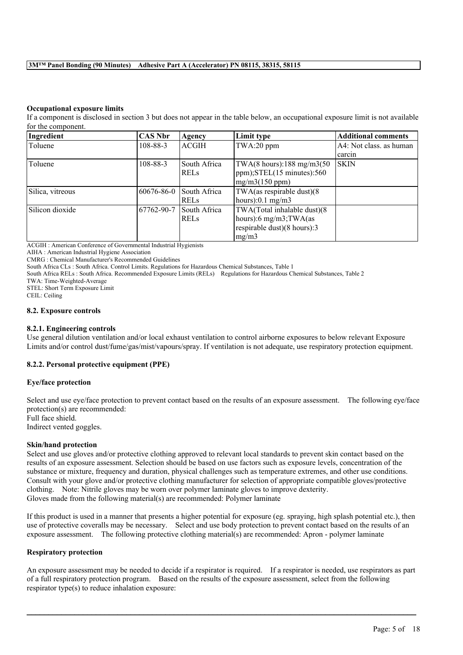#### **Occupational exposure limits**

If a component is disclosed in section 3 but does not appear in the table below, an occupational exposure limit is not available for the component.

| Ingredient       | <b>CAS Nbr</b>   | Agency              | Limit type                     | <b>Additional comments</b> |
|------------------|------------------|---------------------|--------------------------------|----------------------------|
| Toluene          | 108-88-3         | <b>ACGIH</b>        | $TWA:20$ ppm                   | A4: Not class, as human    |
|                  |                  |                     |                                | carcin                     |
| Toluene          | 108-88-3         | South Africa        | TWA(8 hours):188 mg/m3(50      | <b>SKIN</b>                |
|                  |                  | <b>RELS</b>         | $ppm$ ); STEL(15 minutes): 560 |                            |
|                  |                  |                     | mg/m3(150 ppm)                 |                            |
| Silica, vitreous | $60676 - 86 - 0$ | South Africa        | TWA(as respirable dust) $(8$   |                            |
|                  |                  | <b>RELS</b>         | hours): $0.1 \text{ mg/m}$ 3   |                            |
| Silicon dioxide  | 67762-90-7       | <b>South Africa</b> | TWA(Total inhalable dust)(8    |                            |
|                  |                  | <b>RELS</b>         | hours):6 $mg/m3$ ; TWA(as      |                            |
|                  |                  |                     | respirable dust)(8 hours):3    |                            |
|                  |                  |                     | mg/m3                          |                            |

ACGIH : American Conference of Governmental Industrial Hygienists

AIHA : American Industrial Hygiene Association

CMRG : Chemical Manufacturer's Recommended Guidelines

South Africa CLs : South Africa. Control Limits. Regulations for Hazardous Chemical Substances, Table 1

South Africa RELs : South Africa. Recommended Exposure Limits (RELs) Regulations for Hazardous Chemical Substances, Table 2

TWA: Time-Weighted-Average

STEL: Short Term Exposure Limit

CEIL: Ceiling

#### **8.2. Exposure controls**

#### **8.2.1. Engineering controls**

Use general dilution ventilation and/or local exhaust ventilation to control airborne exposures to below relevant Exposure Limits and/or control dust/fume/gas/mist/vapours/spray. If ventilation is not adequate, use respiratory protection equipment.

#### **8.2.2. Personal protective equipment (PPE)**

#### **Eye/face protection**

Select and use eye/face protection to prevent contact based on the results of an exposure assessment. The following eye/face protection(s) are recommended: Full face shield.

Indirect vented goggles.

#### **Skin/hand protection**

Select and use gloves and/or protective clothing approved to relevant local standards to prevent skin contact based on the results of an exposure assessment. Selection should be based on use factors such as exposure levels, concentration of the substance or mixture, frequency and duration, physical challenges such as temperature extremes, and other use conditions. Consult with your glove and/or protective clothing manufacturer for selection of appropriate compatible gloves/protective clothing. Note: Nitrile gloves may be worn over polymer laminate gloves to improve dexterity. Gloves made from the following material(s) are recommended: Polymer laminate

If this product is used in a manner that presents a higher potential for exposure (eg. spraying, high splash potential etc.), then use of protective coveralls may be necessary. Select and use body protection to prevent contact based on the results of an exposure assessment. The following protective clothing material(s) are recommended: Apron - polymer laminate

#### **Respiratory protection**

An exposure assessment may be needed to decide if a respirator is required. If a respirator is needed, use respirators as part of a full respiratory protection program. Based on the results of the exposure assessment, select from the following respirator type(s) to reduce inhalation exposure: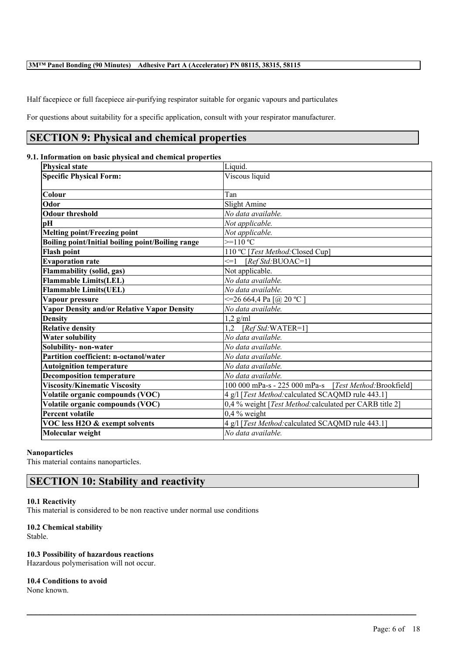Half facepiece or full facepiece air-purifying respirator suitable for organic vapours and particulates

For questions about suitability for a specific application, consult with your respirator manufacturer.

# **SECTION 9: Physical and chemical properties**

### **9.1. Information on basic physical and chemical properties**

| <b>Physical state</b>                              | Liquid.                                                    |  |
|----------------------------------------------------|------------------------------------------------------------|--|
| <b>Specific Physical Form:</b>                     | Viscous liquid                                             |  |
|                                                    |                                                            |  |
| Colour                                             | Tan                                                        |  |
| Odor                                               | <b>Slight Amine</b>                                        |  |
| <b>Odour threshold</b>                             | No data available.                                         |  |
| pH                                                 | Not applicable.                                            |  |
| <b>Melting point/Freezing point</b>                | Not applicable.                                            |  |
| Boiling point/Initial boiling point/Boiling range  | $>=110 °C$                                                 |  |
| <b>Flash point</b>                                 | 110 °C [Test Method: Closed Cup]                           |  |
| <b>Evaporation rate</b>                            | $[RefStd:BUOAC=1]$<br>$\leq$ =1                            |  |
| <b>Flammability (solid, gas)</b>                   | Not applicable.                                            |  |
| <b>Flammable Limits(LEL)</b>                       | No data available.                                         |  |
| <b>Flammable Limits(UEL)</b>                       | No data available.                                         |  |
| Vapour pressure                                    | $\leq$ =26 664,4 Pa [@, 20 °C ]                            |  |
| <b>Vapor Density and/or Relative Vapor Density</b> | No data available.                                         |  |
| <b>Density</b>                                     | $1,2$ g/ml                                                 |  |
| <b>Relative density</b>                            | 1.2<br>$[RefStd:WATER=1]$                                  |  |
| <b>Water solubility</b>                            | No data available.                                         |  |
| Solubility-non-water                               | No data available.                                         |  |
| Partition coefficient: n-octanol/water             | No data available.                                         |  |
| <b>Autoignition temperature</b>                    | No data available.                                         |  |
| <b>Decomposition temperature</b>                   | No data available.                                         |  |
| <b>Viscosity/Kinematic Viscosity</b>               | [Test Method: Brookfield]<br>100 000 mPa-s - 225 000 mPa-s |  |
| Volatile organic compounds (VOC)                   | 4 g/l [Test Method: calculated SCAQMD rule 443.1]          |  |
| Volatile organic compounds (VOC)                   | 0,4 % weight [Test Method: calculated per CARB title 2]    |  |
| <b>Percent volatile</b>                            | $0.4\%$ weight                                             |  |
| VOC less H2O & exempt solvents                     | 4 g/l [Test Method: calculated SCAQMD rule 443.1]          |  |
| Molecular weight                                   | No data available.                                         |  |

 $\mathcal{L}_\mathcal{L} = \mathcal{L}_\mathcal{L} = \mathcal{L}_\mathcal{L} = \mathcal{L}_\mathcal{L} = \mathcal{L}_\mathcal{L} = \mathcal{L}_\mathcal{L} = \mathcal{L}_\mathcal{L} = \mathcal{L}_\mathcal{L} = \mathcal{L}_\mathcal{L} = \mathcal{L}_\mathcal{L} = \mathcal{L}_\mathcal{L} = \mathcal{L}_\mathcal{L} = \mathcal{L}_\mathcal{L} = \mathcal{L}_\mathcal{L} = \mathcal{L}_\mathcal{L} = \mathcal{L}_\mathcal{L} = \mathcal{L}_\mathcal{L}$ 

#### **Nanoparticles**

This material contains nanoparticles.

# **SECTION 10: Stability and reactivity**

#### **10.1 Reactivity**

This material is considered to be non reactive under normal use conditions

#### **10.2 Chemical stability** Stable.

**10.3 Possibility of hazardous reactions**

Hazardous polymerisation will not occur.

#### **10.4 Conditions to avoid**

None known.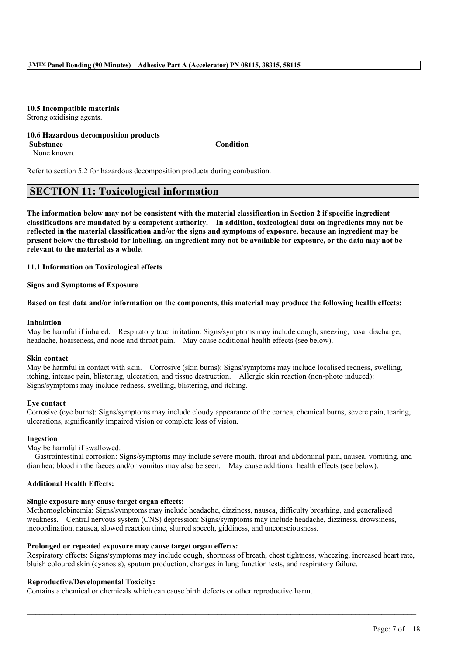**10.5 Incompatible materials** Strong oxidising agents.

#### **10.6 Hazardous decomposition products**

**Substance Condition**

None known.

Refer to section 5.2 for hazardous decomposition products during combustion.

### **SECTION 11: Toxicological information**

The information below may not be consistent with the material classification in Section 2 if specific ingredient **classifications are mandated by a competent authority. In addition, toxicological data on ingredients may not be** reflected in the material classification and/or the signs and symptoms of exposure, because an ingredient may be present below the threshold for labelling, an ingredient may not be available for exposure, or the data may not be **relevant to the material as a whole.**

**11.1 Information on Toxicological effects**

**Signs and Symptoms of Exposure**

#### Based on test data and/or information on the components, this material may produce the following health effects:

#### **Inhalation**

May be harmful if inhaled. Respiratory tract irritation: Signs/symptoms may include cough, sneezing, nasal discharge, headache, hoarseness, and nose and throat pain. May cause additional health effects (see below).

#### **Skin contact**

May be harmful in contact with skin. Corrosive (skin burns): Signs/symptoms may include localised redness, swelling, itching, intense pain, blistering, ulceration, and tissue destruction. Allergic skin reaction (non-photo induced): Signs/symptoms may include redness, swelling, blistering, and itching.

#### **Eye contact**

Corrosive (eye burns): Signs/symptoms may include cloudy appearance of the cornea, chemical burns, severe pain, tearing, ulcerations, significantly impaired vision or complete loss of vision.

#### **Ingestion**

May be harmful if swallowed.

Gastrointestinal corrosion: Signs/symptoms may include severe mouth, throat and abdominal pain, nausea, vomiting, and diarrhea; blood in the faeces and/or vomitus may also be seen. May cause additional health effects (see below).

#### **Additional Health Effects:**

#### **Single exposure may cause target organ effects:**

Methemoglobinemia: Signs/symptoms may include headache, dizziness, nausea, difficulty breathing, and generalised weakness. Central nervous system (CNS) depression: Signs/symptoms may include headache, dizziness, drowsiness, incoordination, nausea, slowed reaction time, slurred speech, giddiness, and unconsciousness.

#### **Prolonged or repeated exposure may cause target organ effects:**

Respiratory effects: Signs/symptoms may include cough, shortness of breath, chest tightness, wheezing, increased heart rate, bluish coloured skin (cyanosis), sputum production, changes in lung function tests, and respiratory failure.

 $\mathcal{L}_\mathcal{L} = \mathcal{L}_\mathcal{L} = \mathcal{L}_\mathcal{L} = \mathcal{L}_\mathcal{L} = \mathcal{L}_\mathcal{L} = \mathcal{L}_\mathcal{L} = \mathcal{L}_\mathcal{L} = \mathcal{L}_\mathcal{L} = \mathcal{L}_\mathcal{L} = \mathcal{L}_\mathcal{L} = \mathcal{L}_\mathcal{L} = \mathcal{L}_\mathcal{L} = \mathcal{L}_\mathcal{L} = \mathcal{L}_\mathcal{L} = \mathcal{L}_\mathcal{L} = \mathcal{L}_\mathcal{L} = \mathcal{L}_\mathcal{L}$ 

#### **Reproductive/Developmental Toxicity:**

Contains a chemical or chemicals which can cause birth defects or other reproductive harm.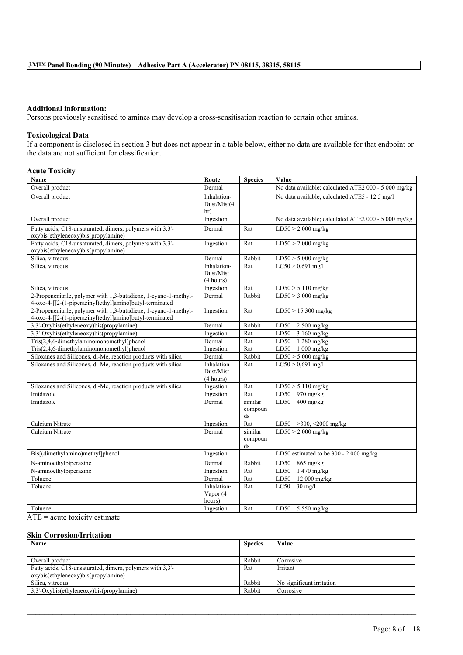#### **Additional information:**

Persons previously sensitised to amines may develop a cross-sensitisation reaction to certain other amines.

#### **Toxicological Data**

If a component is disclosed in section 3 but does not appear in a table below, either no data are available for that endpoint or the data are not sufficient for classification.

#### **Acute Toxicity**

| Name                                                                                                                       | Route                                 | <b>Species</b>                               | Value                                                |
|----------------------------------------------------------------------------------------------------------------------------|---------------------------------------|----------------------------------------------|------------------------------------------------------|
| Overall product                                                                                                            | Dermal                                |                                              | No data available; calculated ATE2 000 - 5 000 mg/kg |
| Overall product                                                                                                            | Inhalation-<br>Dust/Mist(4<br>hr)     |                                              | No data available; calculated ATE5 - 12,5 mg/l       |
| Overall product                                                                                                            | Ingestion                             |                                              | No data available; calculated ATE2 000 - 5 000 mg/kg |
| Fatty acids, C18-unsaturated, dimers, polymers with 3,3'-<br>oxybis(ethyleneoxy)bis(propylamine)                           | Dermal                                | Rat                                          | $LD50 > 2000$ mg/kg                                  |
| Fatty acids, C18-unsaturated, dimers, polymers with 3,3'-<br>oxybis(ethyleneoxy)bis(propylamine)                           | Ingestion                             | Rat                                          | $LD50 > 2000$ mg/kg                                  |
| Silica, vitreous                                                                                                           | Dermal                                | Rabbit                                       | $LD50 > 5000$ mg/kg                                  |
| Silica, vitreous                                                                                                           | Inhalation-<br>Dust/Mist<br>(4 hours) | Rat                                          | $LC50 > 0.691$ mg/l                                  |
| Silica, vitreous                                                                                                           | Ingestion                             | Rat                                          | $LD50 > 5110$ mg/kg                                  |
| 2-Propenenitrile, polymer with 1,3-butadiene, 1-cyano-1-methyl-<br>4-oxo-4-[[2-(1-piperazinyl)ethyl]amino]butyl-terminated | Dermal                                | Rabbit                                       | $LD50 > 3000$ mg/kg                                  |
| 2-Propenenitrile, polymer with 1,3-butadiene, 1-cyano-1-methyl-<br>4-oxo-4-[[2-(1-piperazinyl)ethyl]amino]butyl-terminated | Ingestion                             | Rat                                          | $LD50 > 15300$ mg/kg                                 |
| 3,3'-Oxybis(ethyleneoxy)bis(propylamine)                                                                                   | Dermal                                | Rabbit                                       | LD50 $2500$ mg/kg                                    |
| 3,3'-Oxybis(ethyleneoxy)bis(propylamine)                                                                                   | Ingestion                             | Rat                                          | LD50<br>$3160$ mg/kg                                 |
| Tris(2,4,6-dimethylaminomonomethyl)phenol                                                                                  | Dermal                                | Rat                                          | LD50<br>$1280$ mg/kg                                 |
| Tris(2,4,6-dimethylaminomonomethyl)phenol                                                                                  | Ingestion                             | Rat                                          | LD50 $1000$ mg/kg                                    |
| Siloxanes and Silicones, di-Me, reaction products with silica                                                              | Dermal                                | Rabbit                                       | $LD50 > 5000$ mg/kg                                  |
| Siloxanes and Silicones, di-Me, reaction products with silica                                                              | Inhalation-<br>Dust/Mist<br>(4 hours) | Rat                                          | $LC50 > 0,691$ mg/l                                  |
| Siloxanes and Silicones, di-Me, reaction products with silica                                                              | Ingestion                             | Rat                                          | $LD50 > 5110$ mg/kg                                  |
| Imidazole                                                                                                                  | Ingestion                             | Rat                                          | LD50 970 mg/kg                                       |
| Imidazole                                                                                                                  | Dermal                                | similar<br>compoun<br>$\mathrm{d}\mathrm{s}$ | $\sqrt{400 \text{ mg/kg}}$<br>LD50                   |
| Calcium Nitrate                                                                                                            | Ingestion                             | Rat                                          | LD50 $>300$ , <2000 mg/kg                            |
| Calcium Nitrate                                                                                                            | Dermal                                | similar<br>compoun<br>$\mathrm{d}\mathrm{s}$ | $LD50 > 2000$ mg/kg                                  |
| Bis[(dimethylamino)methyl]phenol                                                                                           | Ingestion                             |                                              | LD50 estimated to be 300 - 2 000 mg/kg               |
| N-aminoethylpiperazine                                                                                                     | Dermal                                | Rabbit                                       | LD50<br>$865$ mg/kg                                  |
| N-aminoethylpiperazine                                                                                                     | Ingestion                             | Rat                                          | 1 470 mg/kg<br>LD50                                  |
| Toluene                                                                                                                    | Dermal                                | Rat                                          | LD50<br>12 000 mg/kg                                 |
| Toluene                                                                                                                    | Inhalation-<br>Vapor (4<br>hours)     | Rat                                          | $30 \text{ mg/l}$<br>LC50                            |
| Toluene                                                                                                                    | Ingestion                             | Rat                                          | LD50 5 550 mg/kg                                     |

 $\overline{ATE}$  = acute toxicity estimate

### **Skin Corrosion/Irritation**

| Name<br><b>Species</b>                                    |        | Value                     |
|-----------------------------------------------------------|--------|---------------------------|
|                                                           |        |                           |
| Overall product                                           | Rabbit | Corrosive                 |
| Fatty acids, C18-unsaturated, dimers, polymers with 3.3'- | Rat    | Irritant                  |
| oxybis(ethyleneoxy)bis(propylamine)                       |        |                           |
| Silica, vitreous                                          | Rabbit | No significant irritation |
| 3,3'-Oxybis(ethyleneoxy)bis(propylamine)                  | Rabbit | Corrosive                 |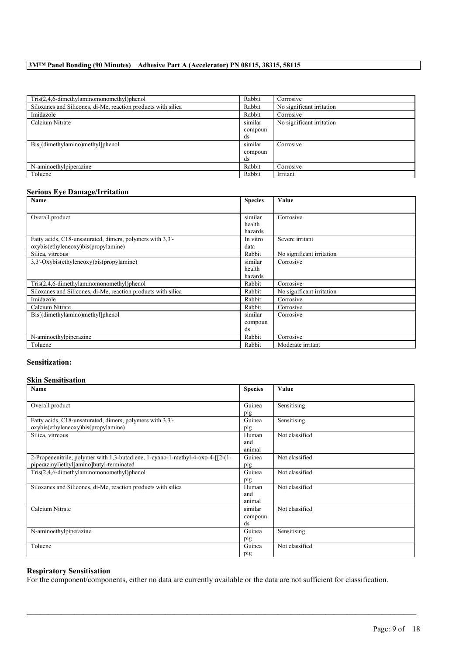| $Tris(2,4,6$ -dimethylaminomonomethyl)phenol                  | Rabbit  | Corrosive                 |
|---------------------------------------------------------------|---------|---------------------------|
| Siloxanes and Silicones, di-Me, reaction products with silica | Rabbit  | No significant irritation |
| Imidazole                                                     | Rabbit  | Corrosive                 |
| Calcium Nitrate                                               | similar | No significant irritation |
|                                                               | compoun |                           |
|                                                               | ds      |                           |
| Bis[(dimethylamino)methyl]phenol                              | similar | Corrosive                 |
|                                                               | compoun |                           |
|                                                               | ds      |                           |
| N-aminoethylpiperazine                                        | Rabbit  | Corrosive                 |
| Toluene                                                       | Rabbit  | Irritant                  |

### **Serious Eye Damage/Irritation**

| Name                                                          | <b>Species</b>         | Value                     |
|---------------------------------------------------------------|------------------------|---------------------------|
|                                                               |                        |                           |
| Overall product                                               | similar                | Corrosive                 |
|                                                               | health                 |                           |
|                                                               | hazards                |                           |
| Fatty acids, C18-unsaturated, dimers, polymers with 3,3'-     | In vitro               | Severe irritant           |
| oxybis(ethyleneoxy)bis(propylamine)                           | data                   |                           |
| Silica, vitreous                                              | Rabbit                 | No significant irritation |
| 3,3'-Oxybis(ethyleneoxy)bis(propylamine)                      | similar                | Corrosive                 |
|                                                               | health                 |                           |
|                                                               | hazards                |                           |
| Tris(2,4,6-dimethylaminomonomethyl)phenol                     | Rabbit                 | Corrosive                 |
| Siloxanes and Silicones, di-Me, reaction products with silica | Rabbit                 | No significant irritation |
| Imidazole                                                     | Rabbit                 | Corrosive                 |
| Calcium Nitrate                                               | Rabbit                 | Corrosive                 |
| Bis[(dimethylamino)methyl]phenol                              | similar                | Corrosive                 |
|                                                               | compoun                |                           |
|                                                               | $\mathrm{d}\mathbf{s}$ |                           |
| N-aminoethylpiperazine                                        | Rabbit                 | Corrosive                 |
| Toluene                                                       | Rabbit                 | Moderate irritant         |

#### **Sensitization:**

#### **Skin Sensitisation**

| Name                                                                           | <b>Species</b> | Value          |
|--------------------------------------------------------------------------------|----------------|----------------|
|                                                                                |                |                |
| Overall product                                                                | Guinea         | Sensitising    |
|                                                                                | pig            |                |
| Fatty acids, C18-unsaturated, dimers, polymers with 3,3'-                      | Guinea         | Sensitising    |
| oxybis(ethyleneoxy)bis(propylamine)                                            | pig            |                |
| Silica, vitreous                                                               | Human          | Not classified |
|                                                                                | and            |                |
|                                                                                | animal         |                |
| 2-Propenenitrile, polymer with 1,3-butadiene, 1-cyano-1-methyl-4-oxo-4-[[2-(1- | Guinea         | Not classified |
| piperazinyl)ethyl]amino]butyl-terminated                                       | pig            |                |
| Tris(2,4,6-dimethylaminomonomethyl)phenol                                      | Guinea         | Not classified |
|                                                                                | pig            |                |
| Siloxanes and Silicones, di-Me, reaction products with silica                  | Human          | Not classified |
|                                                                                | and            |                |
|                                                                                | animal         |                |
| Calcium Nitrate                                                                | similar        | Not classified |
|                                                                                | compoun        |                |
|                                                                                | ds             |                |
| N-aminoethylpiperazine                                                         | Guinea         | Sensitising    |
|                                                                                | pig            |                |
| Toluene                                                                        | Guinea         | Not classified |
|                                                                                | pig            |                |

### **Respiratory Sensitisation**

For the component/components, either no data are currently available or the data are not sufficient for classification.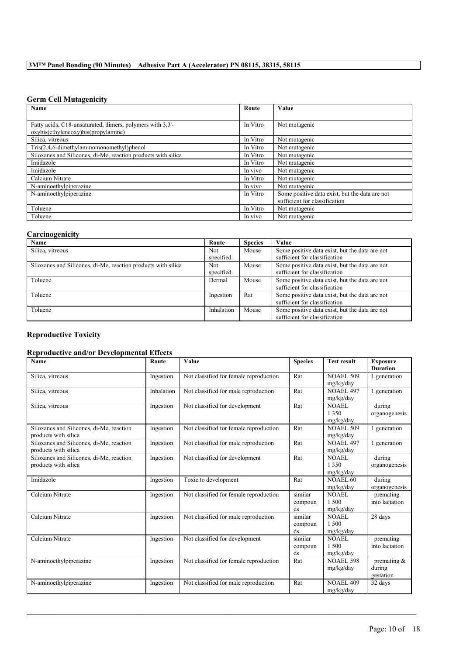# **Germ Cell Mutagenicity**

| Name                                                          | Route    | Value                                          |
|---------------------------------------------------------------|----------|------------------------------------------------|
|                                                               |          |                                                |
| Fatty acids, C18-unsaturated, dimers, polymers with 3,3'-     | In Vitro | Not mutagenic                                  |
| oxybis(ethyleneoxy)bis(propylamine)                           |          |                                                |
| Silica, vitreous                                              | In Vitro | Not mutagenic                                  |
| Tris(2,4,6-dimethylaminomonomethyl)phenol                     | In Vitro | Not mutagenic                                  |
| Siloxanes and Silicones, di-Me, reaction products with silica | In Vitro | Not mutagenic                                  |
| Imidazole                                                     | In Vitro | Not mutagenic                                  |
| Imidazole                                                     | In vivo  | Not mutagenic                                  |
| Calcium Nitrate                                               | In Vitro | Not mutagenic                                  |
| N-aminoethylpiperazine                                        | In vivo  | Not mutagenic                                  |
| N-aminoethylpiperazine                                        | In Vitro | Some positive data exist, but the data are not |
|                                                               |          | sufficient for classification                  |
| Toluene                                                       | In Vitro | Not mutagenic                                  |
| Toluene                                                       | In vivo  | Not mutagenic                                  |

### **Carcinogenicity**

| <b>Name</b>                                                   | Route      | <b>Species</b> | Value                                          |
|---------------------------------------------------------------|------------|----------------|------------------------------------------------|
| Silica, vitreous                                              | Not        | Mouse          | Some positive data exist, but the data are not |
|                                                               | specified. |                | sufficient for classification                  |
| Siloxanes and Silicones, di-Me, reaction products with silica | Not        | Mouse          | Some positive data exist, but the data are not |
|                                                               | specified. |                | sufficient for classification                  |
| Toluene                                                       | Dermal     | Mouse          | Some positive data exist, but the data are not |
|                                                               |            |                | sufficient for classification                  |
| Toluene                                                       | Ingestion  | Rat            | Some positive data exist, but the data are not |
|                                                               |            |                | sufficient for classification                  |
| Toluene                                                       | Inhalation | Mouse          | Some positive data exist, but the data are not |
|                                                               |            |                | sufficient for classification                  |

### **Reproductive Toxicity**

### **Reproductive and/or Developmental Effects**

| Name                                                             | Route      | Value                                  | <b>Species</b>           | <b>Test result</b>                 | <b>Exposure</b><br><b>Duration</b>    |
|------------------------------------------------------------------|------------|----------------------------------------|--------------------------|------------------------------------|---------------------------------------|
| Silica, vitreous                                                 | Ingestion  | Not classified for female reproduction | Rat                      | <b>NOAEL 509</b><br>mg/kg/day      | 1 generation                          |
| Silica, vitreous                                                 | Inhalation | Not classified for male reproduction   | Rat                      | <b>NOAEL 497</b><br>mg/kg/day      | 1 generation                          |
| Silica, vitreous                                                 | Ingestion  | Not classified for development         | Rat                      | NOAEL<br>1 3 5 0<br>mg/kg/day      | during<br>organogenesis               |
| Siloxanes and Silicones, di-Me, reaction<br>products with silica | Ingestion  | Not classified for female reproduction | Rat                      | <b>NOAEL 509</b><br>mg/kg/day      | 1 generation                          |
| Siloxanes and Silicones, di-Me, reaction<br>products with silica | Ingestion  | Not classified for male reproduction   | Rat                      | <b>NOAEL 497</b><br>mg/kg/day      | 1 generation                          |
| Siloxanes and Silicones, di-Me, reaction<br>products with silica | Ingestion  | Not classified for development         | Rat                      | NOAEL<br>1 3 5 0<br>mg/kg/day      | during<br>organogenesis               |
| Imidazole                                                        | Ingestion  | Toxic to development                   | Rat                      | <b>NOAEL 60</b><br>mg/kg/day       | during<br>organogenesis               |
| Calcium Nitrate                                                  | Ingestion  | Not classified for female reproduction | similar<br>compoun<br>ds | <b>NOAEL</b><br>1.500<br>mg/kg/day | premating<br>into lactation           |
| Calcium Nitrate                                                  | Ingestion  | Not classified for male reproduction   | similar<br>compoun<br>ds | <b>NOAEL</b><br>1.500<br>mg/kg/day | 28 days                               |
| Calcium Nitrate                                                  | Ingestion  | Not classified for development         | similar<br>compoun<br>ds | <b>NOAEL</b><br>1.500<br>mg/kg/day | premating<br>into lactation           |
| N-aminoethylpiperazine                                           | Ingestion  | Not classified for female reproduction | Rat                      | <b>NOAEL 598</b><br>mg/kg/day      | premating $\&$<br>during<br>gestation |
| N-aminoethylpiperazine                                           | Ingestion  | Not classified for male reproduction   | Rat                      | <b>NOAEL 409</b><br>mg/kg/day      | 32 days                               |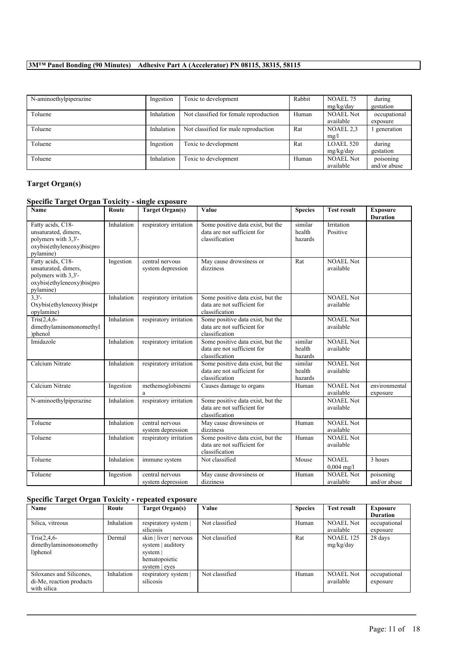| N-aminoethylpiperazine | Ingestion  | Toxic to development                   | Rabbit | NOAEL 75         | during       |
|------------------------|------------|----------------------------------------|--------|------------------|--------------|
|                        |            |                                        |        | mg/kg/day        | gestation    |
| Toluene                | Inhalation | Not classified for female reproduction | Human  | <b>NOAEL Not</b> | occupational |
|                        |            |                                        |        | available        | exposure     |
| Toluene                | Inhalation | Not classified for male reproduction   | Rat    | NOAEL 2.3        | generation   |
|                        |            |                                        |        | mg/l             |              |
| Toluene                | Ingestion  | Toxic to development                   | Rat    | <b>LOAEL 520</b> | during       |
|                        |            |                                        |        | mg/kg/day        | gestation    |
| Toluene                | Inhalation | Toxic to development                   | Human  | <b>NOAEL Not</b> | poisoning    |
|                        |            |                                        |        | available        | and/or abuse |

### **Target Organ(s)**

### **Specific Target Organ Toxicity - single exposure**

| Name                                                                                                        | Route      | <b>Target Organ(s)</b>               | Value                                                                              | <b>Species</b>               | <b>Test result</b>                   | <b>Exposure</b><br><b>Duration</b> |
|-------------------------------------------------------------------------------------------------------------|------------|--------------------------------------|------------------------------------------------------------------------------------|------------------------------|--------------------------------------|------------------------------------|
| Fatty acids, C18-<br>unsaturated, dimers,<br>polymers with 3.3'-<br>oxybis(ethyleneoxy)bis(pro<br>pylamine) | Inhalation | respiratory irritation               | Some positive data exist, but the<br>data are not sufficient for<br>classification | similar<br>health<br>hazards | Irritation<br>Positive               |                                    |
| Fatty acids, C18-<br>unsaturated, dimers,<br>polymers with 3,3'-<br>oxybis(ethyleneoxy)bis(pro<br>pylamine) | Ingestion  | central nervous<br>system depression | May cause drowsiness or<br>dizziness                                               | Rat                          | <b>NOAEL Not</b><br>available        |                                    |
| 3.3'<br>$Oxybis$ (ethyleneoxy) $bis$ (pr<br>opylamine)                                                      | Inhalation | respiratory irritation               | Some positive data exist, but the<br>data are not sufficient for<br>classification |                              | <b>NOAEL Not</b><br>available        |                                    |
| $Tris(2, 4, 6 -$<br>dimethylaminomonomethyl<br>)phenol                                                      | Inhalation | respiratory irritation               | Some positive data exist, but the<br>data are not sufficient for<br>classification |                              | <b>NOAEL Not</b><br>available        |                                    |
| Imidazole                                                                                                   | Inhalation | respiratory irritation               | Some positive data exist, but the<br>data are not sufficient for<br>classification | similar<br>health<br>hazards | NOAEL Not<br>available               |                                    |
| Calcium Nitrate                                                                                             | Inhalation | respiratory irritation               | Some positive data exist, but the<br>data are not sufficient for<br>classification | similar<br>health<br>hazards | NOAEL Not<br>available               |                                    |
| Calcium Nitrate                                                                                             | Ingestion  | methemoglobinemi<br>a                | Causes damage to organs                                                            | Human                        | <b>NOAEL Not</b><br>available        | environmental<br>exposure          |
| N-aminoethylpiperazine                                                                                      | Inhalation | respiratory irritation               | Some positive data exist, but the<br>data are not sufficient for<br>classification |                              | NOAEL Not<br>available               |                                    |
| Toluene                                                                                                     | Inhalation | central nervous<br>system depression | May cause drowsiness or<br>dizziness                                               | Human                        | <b>NOAEL Not</b><br>available        |                                    |
| Toluene                                                                                                     | Inhalation | respiratory irritation               | Some positive data exist, but the<br>data are not sufficient for<br>classification | Human                        | <b>NOAEL Not</b><br>available        |                                    |
| Toluene                                                                                                     | Inhalation | immune system                        | Not classified                                                                     | Mouse                        | <b>NOAEL</b><br>$0,004 \text{ mg/l}$ | 3 hours                            |
| Toluene                                                                                                     | Ingestion  | central nervous<br>system depression | May cause drowsiness or<br>dizziness                                               | Human                        | <b>NOAEL Not</b><br>available        | poisoning<br>and/or abuse          |

### **Specific Target Organ Toxicity - repeated exposure**

| Name                     | Route      | Target Organ(s)        | Value          | <b>Species</b> | <b>Test result</b> | Exposure        |
|--------------------------|------------|------------------------|----------------|----------------|--------------------|-----------------|
|                          |            |                        |                |                |                    | <b>Duration</b> |
| Silica, vitreous         | Inhalation | respiratory system     | Not classified | Human          | <b>NOAEL Not</b>   | occupational    |
|                          |            | silicosis              |                |                | available          | exposure        |
| $Tris(2, 4, 6 -$         | Dermal     | skin   liver   nervous | Not classified | Rat            | <b>NOAEL 125</b>   | 28 days         |
| dimethylaminomonomethy   |            | system   auditory      |                |                | mg/kg/day          |                 |
| l)phenol                 |            | system                 |                |                |                    |                 |
|                          |            | hematopoietic          |                |                |                    |                 |
|                          |            | system   eyes          |                |                |                    |                 |
| Siloxanes and Silicones. | Inhalation | respiratory system     | Not classified | Human          | <b>NOAEL Not</b>   | occupational    |
| di-Me, reaction products |            | silicosis              |                |                | available          | exposure        |
| with silica              |            |                        |                |                |                    |                 |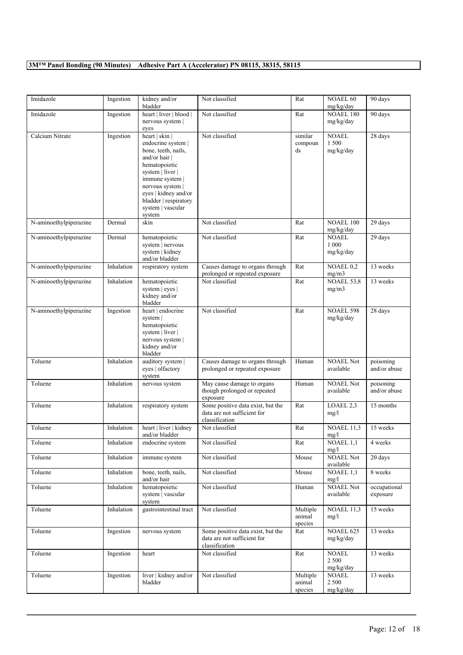| Imidazole              | Ingestion  | kidney and/or<br>bladder                                                                                                                                                                                                                   | Not classified                                                                     | Rat                           | <b>NOAEL 60</b><br>mg/kg/day             | 90 days                   |
|------------------------|------------|--------------------------------------------------------------------------------------------------------------------------------------------------------------------------------------------------------------------------------------------|------------------------------------------------------------------------------------|-------------------------------|------------------------------------------|---------------------------|
| Imidazole              | Ingestion  | heart   liver   blood  <br>nervous system  <br>eyes                                                                                                                                                                                        | Not classified                                                                     | Rat                           | NOAEL 180<br>mg/kg/day                   | 90 days                   |
| Calcium Nitrate        | Ingestion  | heart   skin  <br>endocrine system  <br>bone, teeth, nails,<br>and/or hair $ $<br>hematopoietic<br>system   liver  <br>immune system  <br>nervous system  <br>eyes   kidney and/or<br>bladder   respiratory<br>system   vascular<br>system | Not classified                                                                     | similar<br>compoun<br>ds      | <b>NOAEL</b><br>1500<br>mg/kg/day        | 28 days                   |
| N-aminoethylpiperazine | Dermal     | skin                                                                                                                                                                                                                                       | Not classified                                                                     | Rat                           | NOAEL 100<br>mg/kg/day                   | 29 days                   |
| N-aminoethylpiperazine | Dermal     | hematopoietic<br>system   nervous<br>system   kidney<br>and/or bladder                                                                                                                                                                     | Not classified                                                                     | Rat                           | <b>NOAEL</b><br>1 000<br>mg/kg/day       | 29 days                   |
| N-aminoethylpiperazine | Inhalation | respiratory system                                                                                                                                                                                                                         | Causes damage to organs through<br>prolonged or repeated exposure                  | Rat                           | NOAEL 0.2<br>mg/m3                       | 13 weeks                  |
| N-aminoethylpiperazine | Inhalation | hematopoietic<br>system   eyes  <br>kidney and/or<br>bladder                                                                                                                                                                               | Not classified                                                                     | Rat                           | $\overline{\text{NOAEL } 53,8}$<br>mg/m3 | 13 weeks                  |
| N-aminoethylpiperazine | Ingestion  | heart   endocrine<br>system $ $<br>hematopoietic<br>system   liver  <br>nervous system  <br>kidney and/or<br>bladder                                                                                                                       | Not classified                                                                     | Rat                           | <b>NOAEL 598</b><br>mg/kg/day            | 28 days                   |
| Toluene                | Inhalation | auditory system  <br>eyes   olfactory<br>system                                                                                                                                                                                            | Causes damage to organs through<br>prolonged or repeated exposure                  | Human                         | <b>NOAEL Not</b><br>available            | poisoning<br>and/or abuse |
| Toluene                | Inhalation | nervous system                                                                                                                                                                                                                             | May cause damage to organs<br>though prolonged or repeated<br>exposure             | Human                         | <b>NOAEL Not</b><br>available            | poisoning<br>and/or abuse |
| Toluene                | Inhalation | respiratory system                                                                                                                                                                                                                         | Some positive data exist, but the<br>data are not sufficient for<br>classification | Rat                           | LOAEL 2,3<br>mg/l                        | 15 months                 |
| Toluene                | Inhalation | heart   liver   kidney<br>and/or bladder                                                                                                                                                                                                   | Not classified                                                                     | Rat                           | <b>NOAEL 11,3</b><br>mg/l                | 15 weeks                  |
| Toluene                | Inhalation | endocrine system                                                                                                                                                                                                                           | Not classified                                                                     | $\operatorname{Rat}$          | NOAEL $1,1$<br>mg/l                      | 4 weeks                   |
| Toluene                | Inhalation | immune system                                                                                                                                                                                                                              | Not classified                                                                     | Mouse                         | <b>NOAEL Not</b><br>available            | 20 days                   |
| Toluene                | Inhalation | bone, teeth, nails,<br>and/or hair                                                                                                                                                                                                         | Not classified                                                                     | Mouse                         | NOAEL 1,1<br>mg/l                        | 8 weeks                   |
| Toluene                | Inhalation | hematopoietic<br>system   vascular<br>system                                                                                                                                                                                               | Not classified                                                                     | Human                         | <b>NOAEL Not</b><br>available            | occupational<br>exposure  |
| Toluene                | Inhalation | gastrointestinal tract                                                                                                                                                                                                                     | Not classified                                                                     | Multiple<br>animal<br>species | NOAEL 11,3<br>mg/l                       | 15 weeks                  |
| Toluene                | Ingestion  | nervous system                                                                                                                                                                                                                             | Some positive data exist, but the<br>data are not sufficient for<br>classification | Rat                           | NOAEL 625<br>mg/kg/day                   | 13 weeks                  |
| Toluene                | Ingestion  | heart                                                                                                                                                                                                                                      | Not classified                                                                     | Rat                           | <b>NOAEL</b><br>2 500<br>mg/kg/day       | 13 weeks                  |
| Toluene                | Ingestion  | liver   kidney and/or<br>bladder                                                                                                                                                                                                           | Not classified                                                                     | Multiple<br>animal<br>species | <b>NOAEL</b><br>2 500<br>mg/kg/day       | 13 weeks                  |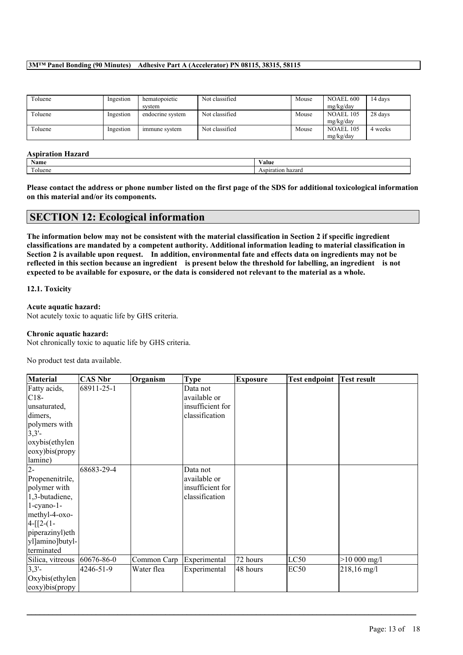| Toluene | Ingestion | hematopoietic    | Not classified | Mouse | NOAEL 600 | 14 days |
|---------|-----------|------------------|----------------|-------|-----------|---------|
|         |           | system           |                |       | mg/kg/day |         |
| Toluene | Ingestion | endocrine system | Not classified | Mouse | NOAEL 105 | 28 days |
|         |           |                  |                |       | mg/kg/day |         |
| Toluene | Ingestion | immune system    | Not classified | Mouse | NOAEL 105 | 4 weeks |
|         |           |                  |                |       | mg/kg/day |         |

#### **Aspiration Hazard**

| . — п            | $\sim$ 1 |
|------------------|----------|
| Name             | ∨alue    |
| <b>CONTINUES</b> | zaro     |
| oluene           | Пč       |
|                  |          |

Please contact the address or phone number listed on the first page of the SDS for additional toxicological information **on this material and/or its components.**

### **SECTION 12: Ecological information**

The information below may not be consistent with the material classification in Section 2 if specific ingredient **classifications are mandated by a competent authority. Additional information leading to material classification in** Section 2 is available upon request. In addition, environmental fate and effects data on ingredients may not be reflected in this section because an ingredient is present below the threshold for labelling, an ingredient is not expected to be available for exposure, or the data is considered not relevant to the material as a whole.

#### **12.1. Toxicity**

#### **Acute aquatic hazard:**

Not acutely toxic to aquatic life by GHS criteria.

#### **Chronic aquatic hazard:**

Not chronically toxic to aquatic life by GHS criteria.

No product test data available.

| <b>Material</b>                | <b>CAS Nbr</b> | Organism    | Type             | <b>Exposure</b> | <b>Test endpoint</b> | <b>Test result</b> |
|--------------------------------|----------------|-------------|------------------|-----------------|----------------------|--------------------|
| Fatty acids,                   | 68911-25-1     |             | Data not         |                 |                      |                    |
| $C18-$                         |                |             | available or     |                 |                      |                    |
| unsaturated,                   |                |             | insufficient for |                 |                      |                    |
| dimers,                        |                |             | classification   |                 |                      |                    |
| polymers with                  |                |             |                  |                 |                      |                    |
| $3,3'$ -                       |                |             |                  |                 |                      |                    |
| oxybis(ethylen                 |                |             |                  |                 |                      |                    |
| eoxy)bis(propy                 |                |             |                  |                 |                      |                    |
| lamine)                        |                |             |                  |                 |                      |                    |
| $2 -$                          | 68683-29-4     |             | Data not         |                 |                      |                    |
| Propenenitrile,                |                |             | available or     |                 |                      |                    |
| polymer with                   |                |             | insufficient for |                 |                      |                    |
| 1,3-butadiene,                 |                |             | classification   |                 |                      |                    |
| $1$ -cyano- $1$ -              |                |             |                  |                 |                      |                    |
| methyl-4-oxo-                  |                |             |                  |                 |                      |                    |
| $4-[2-(1-$                     |                |             |                  |                 |                      |                    |
| piperazinyl)eth                |                |             |                  |                 |                      |                    |
| yl]amino]butyl-                |                |             |                  |                 |                      |                    |
| terminated                     |                |             |                  |                 |                      |                    |
| Silica, vitreous $ 60676-86-0$ |                | Common Carp | Experimental     | 72 hours        | LC50                 | $>10000$ mg/l      |
| $3,3'$ -                       | 4246-51-9      | Water flea  | Experimental     | 48 hours        | EC50                 | 218,16 mg/l        |
| Oxybis(ethylen                 |                |             |                  |                 |                      |                    |
| eoxy)bis(propy                 |                |             |                  |                 |                      |                    |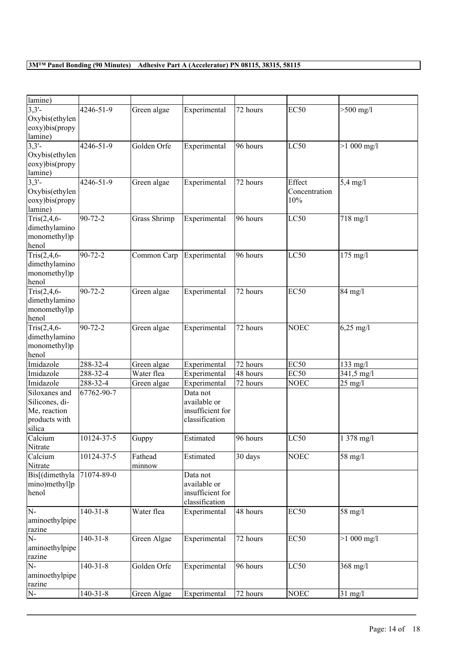| lamine)                           |                 |              |                  |                       |                  |                      |
|-----------------------------------|-----------------|--------------|------------------|-----------------------|------------------|----------------------|
| $3,3'$ -                          | $4246 - 51 - 9$ | Green algae  | Experimental     | 72 hours              | <b>EC50</b>      | $>500$ mg/l          |
| Oxybis(ethylen                    |                 |              |                  |                       |                  |                      |
| eoxy)bis(propy                    |                 |              |                  |                       |                  |                      |
| lamine)                           |                 |              |                  |                       |                  |                      |
| $3,3'$ -                          | 4246-51-9       | Golden Orfe  | Experimental     | 96 hours              | LC50             | $>1000$ mg/l         |
| Oxybis(ethylen                    |                 |              |                  |                       |                  |                      |
| eoxy)bis(propy                    |                 |              |                  |                       |                  |                      |
| lamine)                           |                 |              |                  |                       |                  |                      |
| $3,3'$ -                          | 4246-51-9       | Green algae  | Experimental     | 72 hours              | Effect           | $5,4$ mg/l           |
| Oxybis(ethylen                    |                 |              |                  |                       | Concentration    |                      |
| eoxy)bis(propy                    |                 |              |                  |                       | 10%              |                      |
| lamine)                           |                 |              |                  |                       |                  |                      |
| $Tris(2, 4, 6 -$                  | $90 - 72 - 2$   | Grass Shrimp | Experimental     | 96 hours              | LC50             | 718 mg/l             |
| dimethylamino                     |                 |              |                  |                       |                  |                      |
| monomethyl)p                      |                 |              |                  |                       |                  |                      |
| henol                             |                 |              |                  |                       |                  |                      |
| $Tris(2, 4, 6 -$                  | $90 - 72 - 2$   |              |                  | 96 hours              |                  |                      |
| dimethylamino                     |                 | Common Carp  | Experimental     |                       | LC50             | $175$ mg/l           |
|                                   |                 |              |                  |                       |                  |                      |
| monomethyl)p                      |                 |              |                  |                       |                  |                      |
| henol                             |                 |              |                  |                       |                  |                      |
| Tris $\overline{(2,4,6-)}$        | $90 - 72 - 2$   | Green algae  | Experimental     | 72 hours              | <b>EC50</b>      | 84 mg/l              |
| dimethylamino                     |                 |              |                  |                       |                  |                      |
| monomethyl)p                      |                 |              |                  |                       |                  |                      |
| henol                             |                 |              |                  |                       |                  |                      |
| $Tris(2, 4, 6 -$                  | $90 - 72 - 2$   | Green algae  | Experimental     | 72 hours              | <b>NOEC</b>      | $6,25$ mg/l          |
| dimethylamino                     |                 |              |                  |                       |                  |                      |
| monomethyl)p                      |                 |              |                  |                       |                  |                      |
| henol                             |                 |              |                  |                       |                  |                      |
| Imidazole                         | 288-32-4        | Green algae  | Experimental     | 72 hours              | <b>EC50</b>      | 133 mg/l             |
| Imidazole                         | 288-32-4        | Water flea   | Experimental     | 48 hours              | EC <sub>50</sub> | $\sqrt{341,5}$ mg/l  |
| Imidazole                         | 288-32-4        | Green algae  | Experimental     | $\overline{72}$ hours | <b>NOEC</b>      | $25$ mg/l            |
| Siloxanes and                     | 67762-90-7      |              | Data not         |                       |                  |                      |
| Silicones, di-                    |                 |              | available or     |                       |                  |                      |
| Me, reaction                      |                 |              | insufficient for |                       |                  |                      |
| products with                     |                 |              | classification   |                       |                  |                      |
| silica                            |                 |              |                  |                       |                  |                      |
| Calcium                           | 10124-37-5      | Guppy        | Estimated        | 96 hours              | LC50             | 1 378 mg/l           |
| Nitrate                           |                 |              |                  |                       |                  |                      |
| Calcium                           | 10124-37-5      | Fathead      | Estimated        | 30 days               | <b>NOEC</b>      | 58 mg/l              |
| Nitrate                           |                 | minnow       |                  |                       |                  |                      |
| Bis[(dimethyla                    | 71074-89-0      |              | Data not         |                       |                  |                      |
| mino)methyl]p                     |                 |              | available or     |                       |                  |                      |
| henol                             |                 |              | insufficient for |                       |                  |                      |
|                                   |                 |              | classification   |                       |                  |                      |
| $N -$                             | $140 - 31 - 8$  | Water flea   | Experimental     | 48 hours              | <b>EC50</b>      | 58 mg/l              |
| aminoethylpipe                    |                 |              |                  |                       |                  |                      |
| razine                            |                 |              |                  |                       |                  |                      |
| $N-$                              | $140 - 31 - 8$  | Green Algae  | Experimental     | 72 hours              | EC <sub>50</sub> | $>1000 \text{ mg}/1$ |
| aminoethylpipe                    |                 |              |                  |                       |                  |                      |
|                                   |                 |              |                  |                       |                  |                      |
| razine<br>$\overline{\text{N}}$ - |                 |              |                  |                       |                  |                      |
|                                   | $140 - 31 - 8$  | Golden Orfe  | Experimental     | 96 hours              | LC50             | 368 mg/l             |
| aminoethylpipe                    |                 |              |                  |                       |                  |                      |
| razine                            |                 |              |                  |                       |                  |                      |
| $N-$                              | $140 - 31 - 8$  | Green Algae  | Experimental     | 72 hours              | NOEC             | $31$ mg/l            |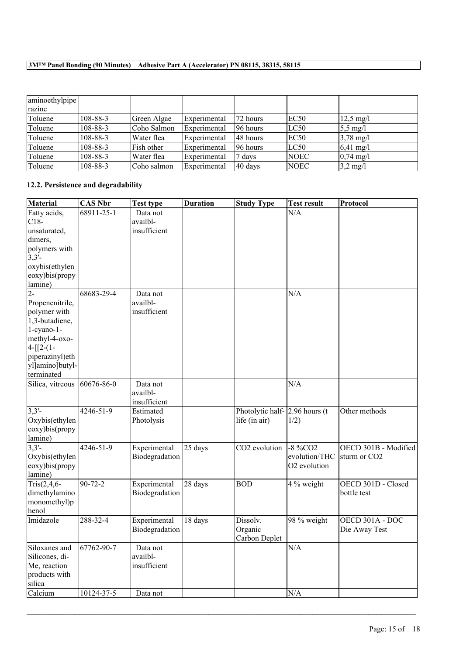| aminoethylpipe |                |              |              |           |             |                     |
|----------------|----------------|--------------|--------------|-----------|-------------|---------------------|
| razine         |                |              |              |           |             |                     |
| Toluene        | $108 - 88 - 3$ | Green Algae  | Experimental | 172 hours | IEC50       | $12,5 \text{ mg}/1$ |
| Toluene        | 108-88-3       | lCoho Salmon | Experimental | 196 hours | ILC50       | $5,5 \text{ mg}/1$  |
| Toluene        | 108-88-3       | Water flea   | Experimental | 148 hours | IEC50       | $3,78 \text{ mg}/1$ |
| Toluene        | 108-88-3       | Fish other   | Experimental | 196 hours | ILC50       | $6,41 \text{ mg}/1$ |
| Toluene        | 108-88-3       | Water flea   | Experimental | 7 days    | <b>NOEC</b> | $0,74 \text{ mg}/1$ |
| Toluene        | 108-88-3       | lCoho salmon | Experimental | 40 davs   | <b>NOEC</b> | $3,2 \text{ mg}/l$  |

# **12.2. Persistence and degradability**

| <b>Material</b>                | <b>CAS Nbr</b> | <b>Test type</b> | <b>Duration</b> | <b>Study Type</b>                      | <b>Test result</b> | Protocol                 |
|--------------------------------|----------------|------------------|-----------------|----------------------------------------|--------------------|--------------------------|
| Fatty acids,                   | 68911-25-1     | Data not         |                 |                                        | N/A                |                          |
| $C18-$                         |                | availbl-         |                 |                                        |                    |                          |
| unsaturated,                   |                | insufficient     |                 |                                        |                    |                          |
| dimers,                        |                |                  |                 |                                        |                    |                          |
| polymers with                  |                |                  |                 |                                        |                    |                          |
| 3,3'                           |                |                  |                 |                                        |                    |                          |
| oxybis(ethylen                 |                |                  |                 |                                        |                    |                          |
| eoxy)bis(propy                 |                |                  |                 |                                        |                    |                          |
| lamine)                        |                |                  |                 |                                        |                    |                          |
| $2-$                           | 68683-29-4     | Data not         |                 |                                        | N/A                |                          |
| Propenenitrile,                |                | availbl-         |                 |                                        |                    |                          |
| polymer with                   |                | insufficient     |                 |                                        |                    |                          |
| 1,3-butadiene,                 |                |                  |                 |                                        |                    |                          |
| $1$ -cyano- $1$ -              |                |                  |                 |                                        |                    |                          |
| methyl-4-oxo-                  |                |                  |                 |                                        |                    |                          |
| $4-[2-(1-$                     |                |                  |                 |                                        |                    |                          |
| piperazinyl)eth                |                |                  |                 |                                        |                    |                          |
| yl]amino]butyl-                |                |                  |                 |                                        |                    |                          |
| terminated                     |                |                  |                 |                                        |                    |                          |
| Silica, vitreous $ 60676-86-0$ |                | Data not         |                 |                                        | N/A                |                          |
|                                |                | availbl-         |                 |                                        |                    |                          |
| 3,3'                           | 4246-51-9      | insufficient     |                 |                                        |                    |                          |
|                                |                | Estimated        |                 | Photolytic half- $\vert$ 2.96 hours (t |                    | Other methods            |
| Oxybis(ethylen                 |                | Photolysis       |                 | life (in air)                          | 1/2)               |                          |
| eoxy)bis(propy<br>lamine)      |                |                  |                 |                                        |                    |                          |
| $3,3'$ -                       | 4246-51-9      | Experimental     | 25 days         | CO2 evolution                          | $-8\%CO2$          | OECD 301B - Modified     |
| Oxybis(ethylen                 |                | Biodegradation   |                 |                                        | evolution/THC      | sturm or CO <sub>2</sub> |
| eoxy)bis(propy                 |                |                  |                 |                                        | O2 evolution       |                          |
| lamine)                        |                |                  |                 |                                        |                    |                          |
| $Tris(2, 4, 6 -$               | 90-72-2        | Experimental     | 28 days         | <b>BOD</b>                             | 4 % weight         | OECD 301D - Closed       |
| dimethylamino                  |                | Biodegradation   |                 |                                        |                    | bottle test              |
| monomethyl)p                   |                |                  |                 |                                        |                    |                          |
| henol                          |                |                  |                 |                                        |                    |                          |
| Imidazole                      | 288-32-4       | Experimental     | 18 days         | Dissolv.                               | 98 % weight        | OECD 301A - DOC          |
|                                |                | Biodegradation   |                 | Organic                                |                    | Die Away Test            |
|                                |                |                  |                 | Carbon Deplet                          |                    |                          |
| Siloxanes and                  | 67762-90-7     | Data not         |                 |                                        | N/A                |                          |
| Silicones, di-                 |                | availbl-         |                 |                                        |                    |                          |
| Me, reaction                   |                | insufficient     |                 |                                        |                    |                          |
| products with                  |                |                  |                 |                                        |                    |                          |
| silica                         |                |                  |                 |                                        |                    |                          |
| Calcium                        | 10124-37-5     | Data not         |                 |                                        | N/A                |                          |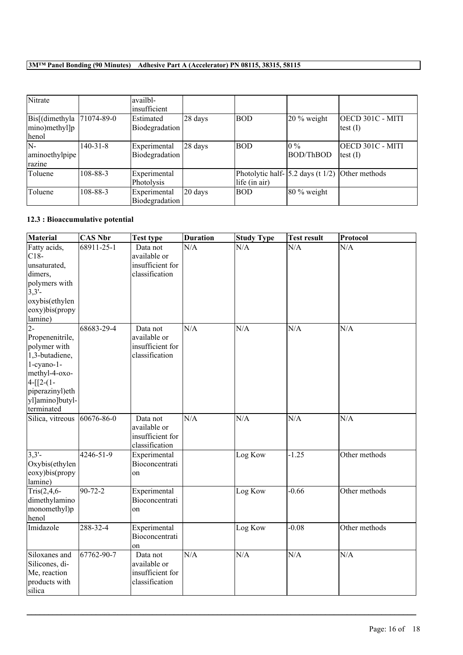| Nitrate                                                        |                | availbl-<br>insufficient       |         |                                                                                         |                            |                                       |
|----------------------------------------------------------------|----------------|--------------------------------|---------|-----------------------------------------------------------------------------------------|----------------------------|---------------------------------------|
| $\text{Bis}$ [(dimethyla  71074-89-0<br>mino)methyl]p<br>henol |                | Estimated<br>Biodegradation    | 28 days | BOD                                                                                     | $20\%$ weight              | <b>OECD 301C - MITI</b><br>test $(I)$ |
| N-<br>aminoethylpipe<br>razine                                 | $140 - 31 - 8$ | Experimental<br>Biodegradation | 28 days | BOD                                                                                     | $10\%$<br><b>BOD/ThBOD</b> | OECD 301C - MITI<br>test $(I)$        |
| Toluene                                                        | 108-88-3       | Experimental<br>Photolysis     |         | Photolytic half- $\vert 5.2 \vert$ days (t 1/2) Other methods<br>$\text{life}$ (in air) |                            |                                       |
| Toluene                                                        | 108-88-3       | Experimental<br>Biodegradation | 20 days | BOD                                                                                     | $80\%$ weight              |                                       |

# **12.3 : Bioaccumulative potential**

| Material                                                                                                                                                                    | <b>CAS Nbr</b> | <b>Test type</b>                                               | <b>Duration</b> | <b>Study Type</b> | <b>Test result</b> | Protocol      |
|-----------------------------------------------------------------------------------------------------------------------------------------------------------------------------|----------------|----------------------------------------------------------------|-----------------|-------------------|--------------------|---------------|
| Fatty acids,<br>$C18-$<br>unsaturated,<br>dimers,<br>polymers with<br>$3,3'$ -<br>oxybis(ethylen<br>eoxy)bis(propy<br>lamine)                                               | 68911-25-1     | Data not<br>available or<br>insufficient for<br>classification | N/A             | N/A               | N/A                | N/A           |
| $\overline{2}$<br>Propenenitrile,<br>polymer with<br>1,3-butadiene,<br>$1$ -cyano- $1$ -<br>methyl-4-oxo-<br>$4-[2-(1-$<br>piperazinyl)eth<br>yl]amino]butyl-<br>terminated | 68683-29-4     | Data not<br>available or<br>insufficient for<br>classification | N/A             | N/A               | N/A                | N/A           |
| Silica, vitreous                                                                                                                                                            | 60676-86-0     | Data not<br>available or<br>insufficient for<br>classification | N/A             | N/A               | N/A                | N/A           |
| $3,3'$ -<br>Oxybis(ethylen<br>eoxy)bis(propy<br>lamine)                                                                                                                     | 4246-51-9      | Experimental<br>Bioconcentrati<br>on                           |                 | Log Kow           | $-1.25$            | Other methods |
| $Tris(2, 4, 6 -$<br>dimethylamino<br>monomethyl)p<br>henol                                                                                                                  | $90 - 72 - 2$  | Experimental<br>Bioconcentrati<br>on                           |                 | Log Kow           | $-0.66$            | Other methods |
| Imidazole                                                                                                                                                                   | 288-32-4       | Experimental<br>Bioconcentrati<br>on                           |                 | Log Kow           | $-0.08$            | Other methods |
| Siloxanes and<br>Silicones, di-<br>Me, reaction<br>products with<br>silica                                                                                                  | 67762-90-7     | Data not<br>available or<br>insufficient for<br>classification | N/A             | N/A               | N/A                | N/A           |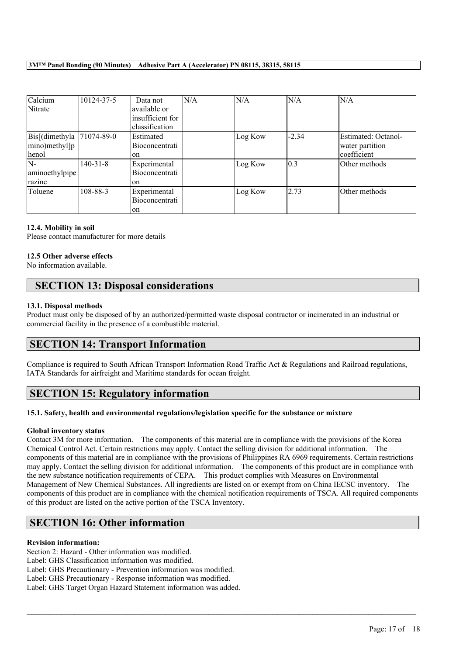| Calcium                              | 10124-37-5     | Data not         | N/A | N/A     | N/A     | N/A                        |
|--------------------------------------|----------------|------------------|-----|---------|---------|----------------------------|
| Nitrate                              |                | lavailable or    |     |         |         |                            |
|                                      |                | insufficient for |     |         |         |                            |
|                                      |                | classification   |     |         |         |                            |
| $\text{Bis}$ [(dimethyla  71074-89-0 |                | Estimated        |     | Log Kow | $-2.34$ | <b>Estimated: Octanol-</b> |
| mino)methyl]p                        |                | Bioconcentrati   |     |         |         | water partition            |
| henol                                |                | on               |     |         |         | coefficient                |
| $N-$                                 | $140 - 31 - 8$ | Experimental     |     | Log Kow | 0.3     | Other methods              |
| aminoethylpipe                       |                | Bioconcentrati   |     |         |         |                            |
| razine                               |                | lon              |     |         |         |                            |
| Toluene                              | 108-88-3       | Experimental     |     | Log Kow | 2.73    | Other methods              |
|                                      |                | Bioconcentrati   |     |         |         |                            |
|                                      |                | lon              |     |         |         |                            |

#### **12.4. Mobility in soil**

Please contact manufacturer for more details

#### **12.5 Other adverse effects**

No information available.

# **SECTION 13: Disposal considerations**

#### **13.1. Disposal methods**

Product must only be disposed of by an authorized/permitted waste disposal contractor or incinerated in an industrial or commercial facility in the presence of a combustible material.

# **SECTION 14: Transport Information**

Compliance is required to South African Transport Information Road Traffic Act & Regulations and Railroad regulations, IATA Standards for airfreight and Maritime standards for ocean freight.

# **SECTION 15: Regulatory information**

#### **15.1. Safety, health and environmental regulations/legislation specific for the substance or mixture**

#### **Global inventory status**

Contact 3M for more information. The components of this material are in compliance with the provisions of the Korea Chemical Control Act. Certain restrictions may apply. Contact the selling division for additional information. The components of this material are in compliance with the provisions of Philippines RA 6969 requirements. Certain restrictions may apply. Contact the selling division for additional information. The components of this product are in compliance with the new substance notification requirements of CEPA. This product complies with Measures on Environmental Management of New Chemical Substances. All ingredients are listed on or exempt from on China IECSC inventory. The components of this product are in compliance with the chemical notification requirements of TSCA. All required components of this product are listed on the active portion of the TSCA Inventory.

 $\mathcal{L}_\mathcal{L} = \mathcal{L}_\mathcal{L} = \mathcal{L}_\mathcal{L} = \mathcal{L}_\mathcal{L} = \mathcal{L}_\mathcal{L} = \mathcal{L}_\mathcal{L} = \mathcal{L}_\mathcal{L} = \mathcal{L}_\mathcal{L} = \mathcal{L}_\mathcal{L} = \mathcal{L}_\mathcal{L} = \mathcal{L}_\mathcal{L} = \mathcal{L}_\mathcal{L} = \mathcal{L}_\mathcal{L} = \mathcal{L}_\mathcal{L} = \mathcal{L}_\mathcal{L} = \mathcal{L}_\mathcal{L} = \mathcal{L}_\mathcal{L}$ 

# **SECTION 16: Other information**

#### **Revision information:**

Section 2: Hazard - Other information was modified. Label: GHS Classification information was modified. Label: GHS Precautionary - Prevention information was modified. Label: GHS Precautionary - Response information was modified. Label: GHS Target Organ Hazard Statement information was added.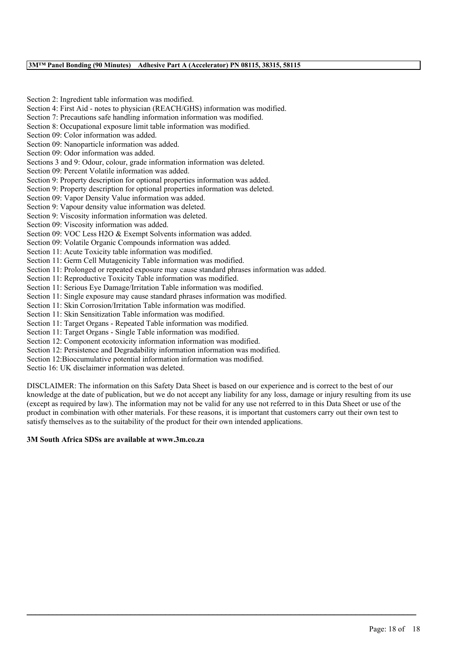Section 2: Ingredient table information was modified. Section 4: First Aid - notes to physician (REACH/GHS) information was modified. Section 7: Precautions safe handling information information was modified. Section 8: Occupational exposure limit table information was modified. Section 09: Color information was added. Section 09: Nanoparticle information was added. Section 09: Odor information was added. Sections 3 and 9: Odour, colour, grade information information was deleted. Section 09: Percent Volatile information was added. Section 9: Property description for optional properties information was added. Section 9: Property description for optional properties information was deleted. Section 09: Vapor Density Value information was added. Section 9: Vapour density value information was deleted. Section 9: Viscosity information information was deleted. Section 09: Viscosity information was added. Section 09: VOC Less H2O & Exempt Solvents information was added. Section 09: Volatile Organic Compounds information was added. Section 11: Acute Toxicity table information was modified. Section 11: Germ Cell Mutagenicity Table information was modified. Section 11: Prolonged or repeated exposure may cause standard phrases information was added. Section 11: Reproductive Toxicity Table information was modified. Section 11: Serious Eye Damage/Irritation Table information was modified. Section 11: Single exposure may cause standard phrases information was modified. Section 11: Skin Corrosion/Irritation Table information was modified. Section 11: Skin Sensitization Table information was modified. Section 11: Target Organs - Repeated Table information was modified. Section 11: Target Organs - Single Table information was modified. Section 12: Component ecotoxicity information information was modified. Section 12: Persistence and Degradability information information was modified. Section 12:Bioccumulative potential information information was modified.

Sectio 16: UK disclaimer information was deleted.

DISCLAIMER: The information on this Safety Data Sheet is based on our experience and is correct to the best of our knowledge at the date of publication, but we do not accept any liability for any loss, damage or injury resulting from its use (except as required by law). The information may not be valid for any use not referred to in this Data Sheet or use of the product in combination with other materials. For these reasons, it is important that customers carry out their own test to satisfy themselves as to the suitability of the product for their own intended applications.

 $\mathcal{L}_\mathcal{L} = \mathcal{L}_\mathcal{L} = \mathcal{L}_\mathcal{L} = \mathcal{L}_\mathcal{L} = \mathcal{L}_\mathcal{L} = \mathcal{L}_\mathcal{L} = \mathcal{L}_\mathcal{L} = \mathcal{L}_\mathcal{L} = \mathcal{L}_\mathcal{L} = \mathcal{L}_\mathcal{L} = \mathcal{L}_\mathcal{L} = \mathcal{L}_\mathcal{L} = \mathcal{L}_\mathcal{L} = \mathcal{L}_\mathcal{L} = \mathcal{L}_\mathcal{L} = \mathcal{L}_\mathcal{L} = \mathcal{L}_\mathcal{L}$ 

#### **3M South Africa SDSs are available at www.3m.co.za**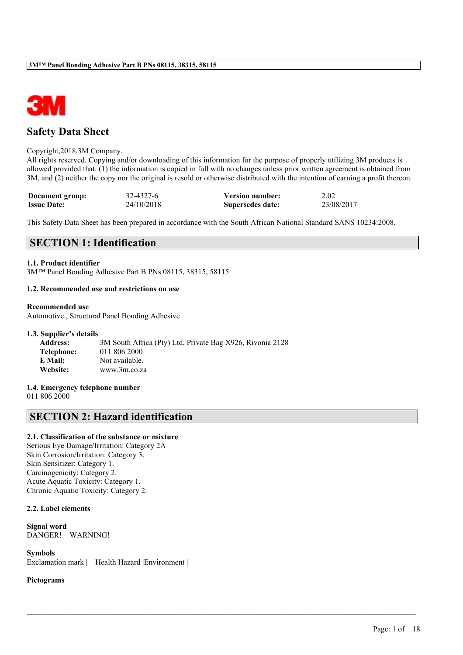

# **Safety Data Sheet**

### Copyright,2018,3M Company.

All rights reserved. Copying and/or downloading of this information for the purpose of properly utilizing 3M products is allowed provided that: (1) the information is copied in full with no changes unless prior written agreement is obtained from 3M, and (2) neither the copy nor the original is resold or otherwise distributed with the intention of earning a profit thereon.

| Document group:    | 32-4327-6  | <b>Version number:</b> | 2.02       |
|--------------------|------------|------------------------|------------|
| <b>Issue Date:</b> | 24/10/2018 | Supersedes date:       | 23/08/2017 |

This Safety Data Sheet has been prepared in accordance with the South African National Standard SANS 10234:2008.

 $\mathcal{L}_\mathcal{L} = \mathcal{L}_\mathcal{L} = \mathcal{L}_\mathcal{L} = \mathcal{L}_\mathcal{L} = \mathcal{L}_\mathcal{L} = \mathcal{L}_\mathcal{L} = \mathcal{L}_\mathcal{L} = \mathcal{L}_\mathcal{L} = \mathcal{L}_\mathcal{L} = \mathcal{L}_\mathcal{L} = \mathcal{L}_\mathcal{L} = \mathcal{L}_\mathcal{L} = \mathcal{L}_\mathcal{L} = \mathcal{L}_\mathcal{L} = \mathcal{L}_\mathcal{L} = \mathcal{L}_\mathcal{L} = \mathcal{L}_\mathcal{L}$ 

# **SECTION 1: Identification**

### **1.1. Product identifier**

3M™ Panel Bonding Adhesive Part B PNs 08115, 38315, 58115

#### **1.2. Recommended use and restrictions on use**

#### **Recommended use**

Automotive., Structural Panel Bonding Adhesive

#### **1.3. Supplier's details**

| <b>Address:</b> | 3M South Africa (Pty) Ltd, Private Bag X926, Rivonia 2128 |
|-----------------|-----------------------------------------------------------|
| Telephone:      | 011 806 2000                                              |
| E Mail:         | Not available.                                            |
| Website:        | www.3m.co.za                                              |

#### **1.4. Emergency telephone number**

011 806 2000

### **SECTION 2: Hazard identification**

#### **2.1. Classification of the substance or mixture**

Serious Eye Damage/Irritation: Category 2A Skin Corrosion/Irritation: Category 3. Skin Sensitizer: Category 1. Carcinogenicity: Category 2. Acute Aquatic Toxicity: Category 1. Chronic Aquatic Toxicity: Category 2.

#### **2.2. Label elements**

**Signal word** DANGER! WARNING!

**Symbols** Exclamation mark | Health Hazard |Environment |

**Pictograms**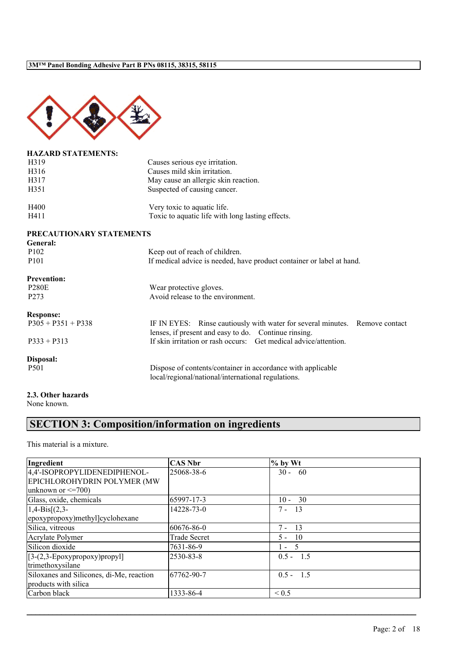

| <b>HAZARD STATEMENTS:</b> |                                                                             |
|---------------------------|-----------------------------------------------------------------------------|
| H319                      | Causes serious eye irritation.                                              |
| H316                      | Causes mild skin irritation.                                                |
| H317                      | May cause an allergic skin reaction.                                        |
| H351                      | Suspected of causing cancer.                                                |
| H400                      | Very toxic to aquatic life.                                                 |
| H411                      | Toxic to aquatic life with long lasting effects.                            |
| PRECAUTIONARY STATEMENTS  |                                                                             |
| General:                  |                                                                             |
| P <sub>102</sub>          | Keep out of reach of children.                                              |
| P <sub>10</sub> 1         | If medical advice is needed, have product container or label at hand.       |
| <b>Prevention:</b>        |                                                                             |
| <b>P280E</b>              | Wear protective gloves.                                                     |
| P <sub>273</sub>          | Avoid release to the environment.                                           |
| <b>Response:</b>          |                                                                             |
| $P305 + P351 + P338$      | IF IN EYES: Rinse cautiously with water for several minutes. Remove contact |
|                           | lenses, if present and easy to do. Continue rinsing.                        |
| $P333 + P313$             | If skin irritation or rash occurs: Get medical advice/attention.            |
| Disposal:                 |                                                                             |
| P <sub>501</sub>          | Dispose of contents/container in accordance with applicable                 |
|                           | local/regional/national/international regulations.                          |
|                           |                                                                             |

# **2.3. Other hazards**

None known.

# **SECTION 3: Composition/information on ingredients**

This material is a mixture.

| Ingredient                               | <b>CAS Nbr</b>      | $%$ by Wt    |
|------------------------------------------|---------------------|--------------|
| 4,4'-ISOPROPYLIDENEDIPHENOL-             | 25068-38-6          | $30 - 60$    |
| <b>EPICHLOROHYDRIN POLYMER (MW</b>       |                     |              |
| unknown or $\leq$ =700)                  |                     |              |
| Glass, oxide, chemicals                  | 65997-17-3          | $10 - 30$    |
| $1,4-Bis[(2,3-$                          | 14228-73-0          | $7 - 13$     |
| epoxypropoxy)methyl]cyclohexane          |                     |              |
| Silica, vitreous                         | 60676-86-0          | -13<br>$7 -$ |
| Acrylate Polymer                         | <b>Trade Secret</b> | -10<br>$5 -$ |
| Silicon dioxide                          | 7631-86-9           | $1 - 5$      |
| $[3-(2,3-Epoxypropoxy)propyl]$           | 2530-83-8           | $0.5 - 1.5$  |
| trimethoxysilane                         |                     |              |
| Siloxanes and Silicones, di-Me, reaction | 67762-90-7          | $0.5 - 1.5$  |
| products with silica                     |                     |              |
| Carbon black                             | 1333-86-4           | ${}_{0.5}$   |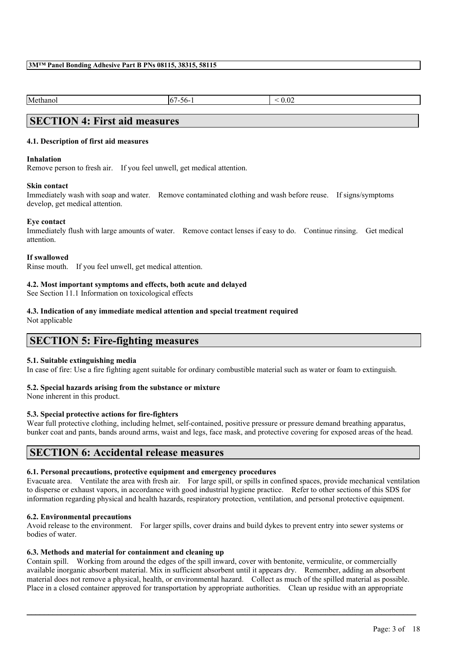| M | $\sim$ |
|---|--------|
|   |        |

### **SECTION 4: First aid measures**

#### **4.1. Description of first aid measures**

#### **Inhalation**

Remove person to fresh air. If you feel unwell, get medical attention.

#### **Skin contact**

Immediately wash with soap and water. Remove contaminated clothing and wash before reuse. If signs/symptoms develop, get medical attention.

#### **Eye contact**

Immediately flush with large amounts of water. Remove contact lenses if easy to do. Continue rinsing. Get medical attention.

#### **If swallowed**

Rinse mouth. If you feel unwell, get medical attention.

#### **4.2. Most important symptoms and effects, both acute and delayed**

See Section 11.1 Information on toxicological effects

#### **4.3. Indication of any immediate medical attention and special treatment required**

Not applicable

# **SECTION 5: Fire-fighting measures**

#### **5.1. Suitable extinguishing media**

In case of fire: Use a fire fighting agent suitable for ordinary combustible material such as water or foam to extinguish.

### **5.2. Special hazards arising from the substance or mixture**

None inherent in this product.

#### **5.3. Special protective actions for fire-fighters**

Wear full protective clothing, including helmet, self-contained, positive pressure or pressure demand breathing apparatus, bunker coat and pants, bands around arms, waist and legs, face mask, and protective covering for exposed areas of the head.

# **SECTION 6: Accidental release measures**

#### **6.1. Personal precautions, protective equipment and emergency procedures**

Evacuate area. Ventilate the area with fresh air. For large spill, or spills in confined spaces, provide mechanical ventilation to disperse or exhaust vapors, in accordance with good industrial hygiene practice. Refer to other sections of this SDS for information regarding physical and health hazards, respiratory protection, ventilation, and personal protective equipment.

#### **6.2. Environmental precautions**

Avoid release to the environment. For larger spills, cover drains and build dykes to prevent entry into sewer systems or bodies of water.

#### **6.3. Methods and material for containment and cleaning up**

Contain spill. Working from around the edges of the spill inward, cover with bentonite, vermiculite, or commercially available inorganic absorbent material. Mix in sufficient absorbent until it appears dry. Remember, adding an absorbent material does not remove a physical, health, or environmental hazard. Collect as much of the spilled material as possible. Place in a closed container approved for transportation by appropriate authorities. Clean up residue with an appropriate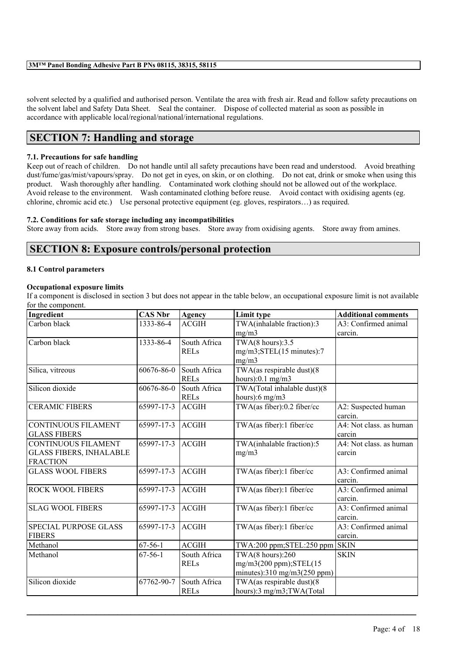solvent selected by a qualified and authorised person. Ventilate the area with fresh air. Read and follow safety precautions on the solvent label and Safety Data Sheet. Seal the container. Dispose of collected material as soon as possible in accordance with applicable local/regional/national/international regulations.

# **SECTION 7: Handling and storage**

#### **7.1. Precautions for safe handling**

Keep out of reach of children. Do not handle until all safety precautions have been read and understood. Avoid breathing dust/fume/gas/mist/vapours/spray. Do not get in eyes, on skin, or on clothing. Do not eat, drink or smoke when using this product. Wash thoroughly after handling. Contaminated work clothing should not be allowed out of the workplace. Avoid release to the environment. Wash contaminated clothing before reuse. Avoid contact with oxidising agents (eg. chlorine, chromic acid etc.) Use personal protective equipment (eg. gloves, respirators…) as required.

#### **7.2. Conditions for safe storage including any incompatibilities**

Store away from acids. Store away from strong bases. Store away from oxidising agents. Store away from amines.

### **SECTION 8: Exposure controls/personal protection**

#### **8.1 Control parameters**

#### **Occupational exposure limits**

If a component is disclosed in section 3 but does not appear in the table below, an occupational exposure limit is not available for the component.

| Ingredient                     | <b>CAS Nbr</b> | <b>Agency</b> | Limit type                                     | <b>Additional comments</b> |
|--------------------------------|----------------|---------------|------------------------------------------------|----------------------------|
| Carbon black                   | 1333-86-4      | <b>ACGIH</b>  | TWA(inhalable fraction):3                      | A3: Confirmed animal       |
|                                |                |               | mg/m3                                          | carcin.                    |
| Carbon black                   | 1333-86-4      | South Africa  | TWA $(8 \text{ hours})$ :3.5                   |                            |
|                                |                | <b>RELs</b>   | mg/m3;STEL(15 minutes):7                       |                            |
|                                |                |               | mg/m3                                          |                            |
| Silica, vitreous               | 60676-86-0     | South Africa  | TWA(as respirable dust)(8                      |                            |
|                                |                | <b>RELs</b>   | hours): $0.1$ mg/m $3$                         |                            |
| Silicon dioxide                | 60676-86-0     | South Africa  | TWA(Total inhalable dust)(8                    |                            |
|                                |                | <b>RELs</b>   | hours):6 mg/m3                                 |                            |
| <b>CERAMIC FIBERS</b>          | 65997-17-3     | <b>ACGIH</b>  | TWA(as fiber):0.2 fiber/cc                     | A2: Suspected human        |
|                                |                |               |                                                | carcin.                    |
| <b>CONTINUOUS FILAMENT</b>     | 65997-17-3     | <b>ACGIH</b>  | TWA(as fiber):1 fiber/cc                       | A4: Not class. as human    |
| <b>GLASS FIBERS</b>            |                |               |                                                | carcin                     |
| <b>CONTINUOUS FILAMENT</b>     | 65997-17-3     | <b>ACGIH</b>  | TWA(inhalable fraction):5                      | A4: Not class. as human    |
| <b>GLASS FIBERS, INHALABLE</b> |                |               | mg/m3                                          | carcin                     |
| <b>FRACTION</b>                |                |               |                                                |                            |
| <b>GLASS WOOL FIBERS</b>       | 65997-17-3     | <b>ACGIH</b>  | TWA(as fiber):1 fiber/cc                       | A3: Confirmed animal       |
|                                |                |               |                                                | carcin.                    |
| <b>ROCK WOOL FIBERS</b>        | 65997-17-3     | <b>ACGIH</b>  | TWA(as fiber):1 fiber/cc                       | A3: Confirmed animal       |
|                                |                |               |                                                | carcin.                    |
| <b>SLAG WOOL FIBERS</b>        | 65997-17-3     | <b>ACGIH</b>  | TWA(as fiber):1 fiber/cc                       | A3: Confirmed animal       |
|                                |                |               |                                                | carcin.                    |
| SPECIAL PURPOSE GLASS          | 65997-17-3     | <b>ACGIH</b>  | TWA(as fiber):1 fiber/cc                       | A3: Confirmed animal       |
| <b>FIBERS</b>                  |                |               |                                                | carcin.                    |
| Methanol                       | $67 - 56 - 1$  | <b>ACGIH</b>  | TWA:200 ppm; STEL:250 ppm                      | <b>SKIN</b>                |
| Methanol                       | $67 - 56 - 1$  | South Africa  | TWA(8 hours):260                               | <b>SKIN</b>                |
|                                |                | <b>RELS</b>   | mg/m3(200 ppm);STEL(15                         |                            |
|                                |                |               | minutes): $310 \text{ mg/m}3(250 \text{ ppm})$ |                            |
| Silicon dioxide                | 67762-90-7     | South Africa  | TWA(as respirable dust)(8                      |                            |
|                                |                | <b>RELs</b>   | hours):3 mg/m3;TWA(Total                       |                            |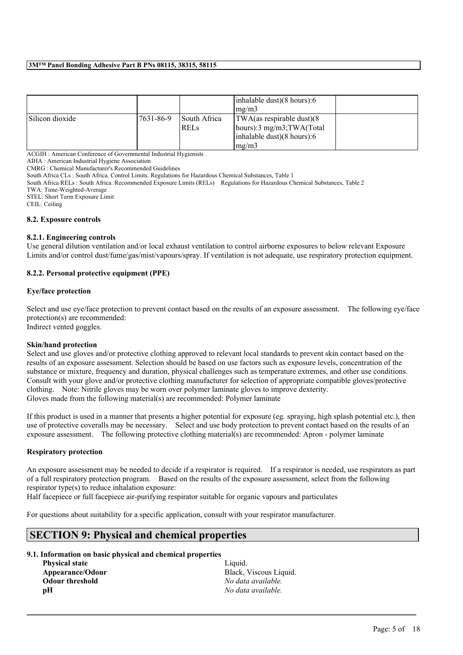|                 |           |                                    | $\vert$ inhalable dust)(8 hours):6<br>$\left \frac{mg}{m^2}\right $                                                                  |  |
|-----------------|-----------|------------------------------------|--------------------------------------------------------------------------------------------------------------------------------------|--|
| Silicon dioxide | 7631-86-9 | <b>South Africa</b><br><b>RELS</b> | $ TWA$ (as respirable dust)(8)<br>$ hours$ :3 mg/m3;TWA(Total<br>$\vert$ inhalable dust)(8 hours):6<br>$\text{Im} \Omega / \text{m}$ |  |

ACGIH : American Conference of Governmental Industrial Hygienists

AIHA : American Industrial Hygiene Association

CMRG : Chemical Manufacturer's Recommended Guidelines

South Africa CLs : South Africa. Control Limits. Regulations for Hazardous Chemical Substances, Table 1

South Africa RELs : South Africa. Recommended Exposure Limits (RELs) Regulations for Hazardous Chemical Substances, Table 2

TWA: Time-Weighted-Average

STEL: Short Term Exposure Limit

CEIL: Ceiling

#### **8.2. Exposure controls**

#### **8.2.1. Engineering controls**

Use general dilution ventilation and/or local exhaust ventilation to control airborne exposures to below relevant Exposure Limits and/or control dust/fume/gas/mist/vapours/spray. If ventilation is not adequate, use respiratory protection equipment.

#### **8.2.2. Personal protective equipment (PPE)**

#### **Eye/face protection**

Select and use eye/face protection to prevent contact based on the results of an exposure assessment. The following eye/face protection(s) are recommended:

Indirect vented goggles.

#### **Skin/hand protection**

Select and use gloves and/or protective clothing approved to relevant local standards to prevent skin contact based on the results of an exposure assessment. Selection should be based on use factors such as exposure levels, concentration of the substance or mixture, frequency and duration, physical challenges such as temperature extremes, and other use conditions. Consult with your glove and/or protective clothing manufacturer for selection of appropriate compatible gloves/protective clothing. Note: Nitrile gloves may be worn over polymer laminate gloves to improve dexterity. Gloves made from the following material(s) are recommended: Polymer laminate

If this product is used in a manner that presents a higher potential for exposure (eg. spraying, high splash potential etc.), then use of protective coveralls may be necessary. Select and use body protection to prevent contact based on the results of an exposure assessment. The following protective clothing material(s) are recommended: Apron - polymer laminate

#### **Respiratory protection**

An exposure assessment may be needed to decide if a respirator is required. If a respirator is needed, use respirators as part of a full respiratory protection program. Based on the results of the exposure assessment, select from the following respirator type(s) to reduce inhalation exposure:

 $\mathcal{L}_\mathcal{L} = \mathcal{L}_\mathcal{L} = \mathcal{L}_\mathcal{L} = \mathcal{L}_\mathcal{L} = \mathcal{L}_\mathcal{L} = \mathcal{L}_\mathcal{L} = \mathcal{L}_\mathcal{L} = \mathcal{L}_\mathcal{L} = \mathcal{L}_\mathcal{L} = \mathcal{L}_\mathcal{L} = \mathcal{L}_\mathcal{L} = \mathcal{L}_\mathcal{L} = \mathcal{L}_\mathcal{L} = \mathcal{L}_\mathcal{L} = \mathcal{L}_\mathcal{L} = \mathcal{L}_\mathcal{L} = \mathcal{L}_\mathcal{L}$ 

Half facepiece or full facepiece air-purifying respirator suitable for organic vapours and particulates

For questions about suitability for a specific application, consult with your respirator manufacturer.

# **SECTION 9: Physical and chemical properties**

#### **9.1. Information on basic physical and chemical properties**

**Physical state** Liquid. **Odour threshold** *No data available.* **pH** *No data available.*

**Appearance/Odour Black, Viscous Liquid.**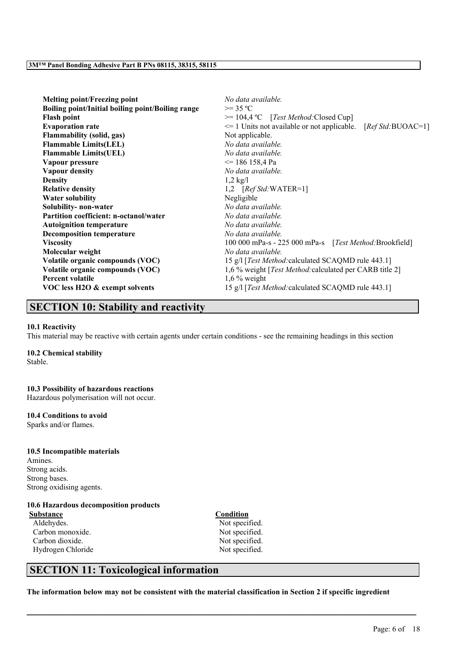| <b>Melting point/Freezing point</b>               | No data available.                                                       |
|---------------------------------------------------|--------------------------------------------------------------------------|
| Boiling point/Initial boiling point/Boiling range | $>= 35 °C$                                                               |
| <b>Flash point</b>                                | $>= 104.4 °C$ [Test Method: Closed Cup]                                  |
| <b>Evaporation rate</b>                           | $\leq$ 1 Units not available or not applicable.<br>[ $RefStd: BUOAC=1$ ] |
| Flammability (solid, gas)                         | Not applicable.                                                          |
| <b>Flammable Limits(LEL)</b>                      | No data available.                                                       |
| <b>Flammable Limits(UEL)</b>                      | No data available.                                                       |
| Vapour pressure                                   | $\leq$ 186 158,4 Pa                                                      |
| <b>Vapour density</b>                             | No data available.                                                       |
| <b>Density</b>                                    | $1,2 \text{ kg}/1$                                                       |
| <b>Relative density</b>                           | 1,2 $[RefStd:WATER=1]$                                                   |
| <b>Water solubility</b>                           | Negligible                                                               |
| Solubility- non-water                             | No data available.                                                       |
| <b>Partition coefficient: n-octanol/water</b>     | No data available.                                                       |
| <b>Autoignition temperature</b>                   | No data available.                                                       |
| <b>Decomposition temperature</b>                  | No data available.                                                       |
| <b>Viscosity</b>                                  | 100 000 mPa-s - 225 000 mPa-s [Test Method: Brookfield]                  |
| Molecular weight                                  | No data available.                                                       |
| Volatile organic compounds (VOC)                  | 15 g/l [ <i>Test Method:</i> calculated SCAQMD rule 443.1]               |
| Volatile organic compounds (VOC)                  | 1,6 % weight [Test Method: calculated per CARB title 2]                  |
| <b>Percent volatile</b>                           | $1.6\%$ weight                                                           |
| VOC less H2O & exempt solvents                    | 15 g/l [Test Method: calculated SCAQMD rule 443.1]                       |
|                                                   |                                                                          |

# **SECTION 10: Stability and reactivity**

#### **10.1 Reactivity**

This material may be reactive with certain agents under certain conditions - see the remaining headings in this section

#### **10.2 Chemical stability**

Stable.

#### **10.3 Possibility of hazardous reactions**

Hazardous polymerisation will not occur.

#### **10.4 Conditions to avoid**

Sparks and/or flames.

### **10.5 Incompatible materials** Amines. Strong acids.

Strong bases. Strong oxidising agents.

#### **10.6 Hazardous decomposition products**

**Substance Condition** Aldehydes. Not specified. Carbon monoxide. Not specified. Carbon dioxide. Not specified. Hydrogen Chloride Not specified.

# **SECTION 11: Toxicological information**

The information below may not be consistent with the material classification in Section 2 if specific ingredient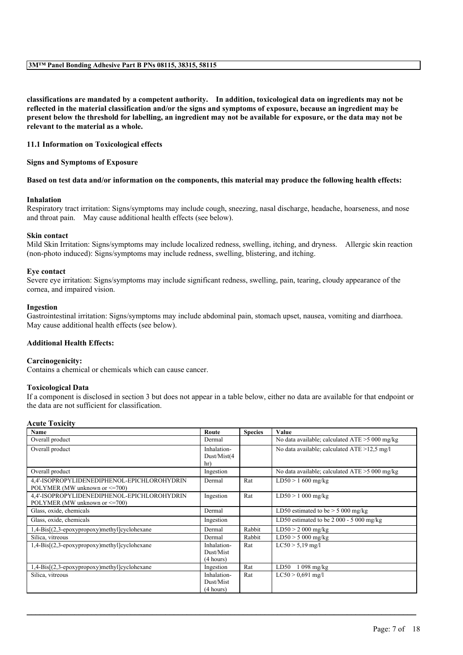**classifications are mandated by a competent authority. In addition, toxicological data on ingredients may not be** reflected in the material classification and/or the signs and symptoms of exposure, because an ingredient may be present below the threshold for labelling, an ingredient may not be available for exposure, or the data may not be **relevant to the material as a whole.**

**11.1 Information on Toxicological effects**

**Signs and Symptoms of Exposure**

Based on test data and/or information on the components, this material may produce the following health effects:

#### **Inhalation**

Respiratory tract irritation: Signs/symptoms may include cough, sneezing, nasal discharge, headache, hoarseness, and nose and throat pain. May cause additional health effects (see below).

#### **Skin contact**

Mild Skin Irritation: Signs/symptoms may include localized redness, swelling, itching, and dryness. Allergic skin reaction (non-photo induced): Signs/symptoms may include redness, swelling, blistering, and itching.

#### **Eye contact**

Severe eye irritation: Signs/symptoms may include significant redness, swelling, pain, tearing, cloudy appearance of the cornea, and impaired vision.

#### **Ingestion**

Gastrointestinal irritation: Signs/symptoms may include abdominal pain, stomach upset, nausea, vomiting and diarrhoea. May cause additional health effects (see below).

#### **Additional Health Effects:**

#### **Carcinogenicity:**

Contains a chemical or chemicals which can cause cancer.

#### **Toxicological Data**

If a component is disclosed in section 3 but does not appear in a table below, either no data are available for that endpoint or the data are not sufficient for classification.

#### **Acute Toxicity**

| Name                                                                               | Route                                 | <b>Species</b> | Value                                            |
|------------------------------------------------------------------------------------|---------------------------------------|----------------|--------------------------------------------------|
| Overall product                                                                    | Dermal                                |                | No data available; calculated $ATE > 5000$ mg/kg |
| Overall product                                                                    | Inhalation-<br>Dust/Mist(4<br>hr)     |                | No data available; calculated $ATE > 12.5$ mg/l  |
| Overall product                                                                    | Ingestion                             |                | No data available; calculated $ATE > 5000$ mg/kg |
| 4.4'-ISOPROPYLIDENEDIPHENOL-EPICHLOROHYDRIN<br>POLYMER (MW unknown or $\leq$ =700) | Dermal                                | Rat            | $LD50 > 1,600$ mg/kg                             |
| 4.4'-ISOPROPYLIDENEDIPHENOL-EPICHLOROHYDRIN<br>POLYMER (MW unknown or <= 700)      | Ingestion                             | Rat            | $LD50 > 1000$ mg/kg                              |
| Glass, oxide, chemicals                                                            | Dermal                                |                | LD50 estimated to be $> 5000$ mg/kg              |
| Glass, oxide, chemicals                                                            | Ingestion                             |                | LD50 estimated to be $2000 - 5000$ mg/kg         |
| 1,4-Bis[(2,3-epoxypropoxy)methyl]cyclohexane                                       | Dermal                                | Rabbit         | $LD50 > 2000$ mg/kg                              |
| Silica, vitreous                                                                   | Dermal                                | Rabbit         | $LD50 > 5000$ mg/kg                              |
| 1,4-Bis[(2,3-epoxypropoxy)methyl]cyclohexane                                       | Inhalation-<br>Dust/Mist<br>(4 hours) | Rat            | $LC50 > 5.19$ mg/l                               |
| $1,4-Bis[(2,3-epoxypropoxy)methyl]cyclohexane$                                     | Ingestion                             | Rat            | LD50<br>$1098$ mg/kg                             |
| Silica, vitreous                                                                   | Inhalation-<br>Dust/Mist<br>(4 hours) | Rat            | $LC50 > 0.691$ mg/l                              |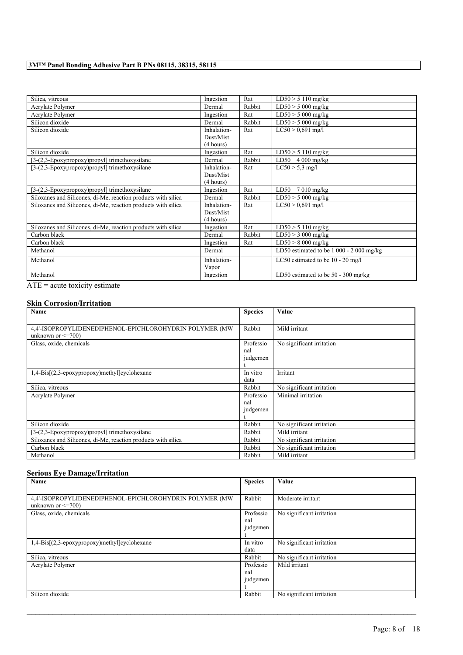| Silica, vitreous                                              | Ingestion   | Rat    | $LD50 > 5110$ mg/kg                      |
|---------------------------------------------------------------|-------------|--------|------------------------------------------|
| Acrylate Polymer                                              | Dermal      | Rabbit | $LD50 > 5000$ mg/kg                      |
| Acrylate Polymer                                              | Ingestion   | Rat    | $LD50 > 5000$ mg/kg                      |
| Silicon dioxide                                               | Dermal      | Rabbit | $LD50 > 5000$ mg/kg                      |
| Silicon dioxide                                               | Inhalation- | Rat    | $LC50 > 0.691$ mg/l                      |
|                                                               | Dust/Mist   |        |                                          |
|                                                               | (4 hours)   |        |                                          |
| Silicon dioxide                                               | Ingestion   | Rat    | $LD50 > 5110$ mg/kg                      |
| [3-(2,3-Epoxypropoxy)propyl] trimethoxysilane                 | Dermal      | Rabbit | $LD50$ 4 000 mg/kg                       |
| [3-(2,3-Epoxypropoxy)propyl] trimethoxysilane                 | Inhalation- | Rat    | $LC50 > 5.3$ mg/l                        |
|                                                               | Dust/Mist   |        |                                          |
|                                                               | (4 hours)   |        |                                          |
| [3-(2,3-Epoxypropoxy)propyl] trimethoxysilane                 | Ingestion   | Rat    | LD50 $7010$ mg/kg                        |
| Siloxanes and Silicones, di-Me, reaction products with silica | Dermal      | Rabbit | $LD50 > 5000$ mg/kg                      |
| Siloxanes and Silicones, di-Me, reaction products with silica | Inhalation- | Rat    | $LC50 > 0.691$ mg/l                      |
|                                                               | Dust/Mist   |        |                                          |
|                                                               | (4 hours)   |        |                                          |
| Siloxanes and Silicones, di-Me, reaction products with silica | Ingestion   | Rat    | $LD50 > 5110$ mg/kg                      |
| Carbon black                                                  | Dermal      | Rabbit | $LD50 > 3000$ mg/kg                      |
| Carbon black                                                  | Ingestion   | Rat    | $LD50 > 8000$ mg/kg                      |
| Methanol                                                      | Dermal      |        | LD50 estimated to be $1000 - 2000$ mg/kg |
| Methanol                                                      | Inhalation- |        | LC50 estimated to be $10 - 20$ mg/l      |
|                                                               | Vapor       |        |                                          |
| Methanol<br>the company's company's company's company's       | Ingestion   |        | LD50 estimated to be $50 - 300$ mg/kg    |

 $ATE =$  acute toxicity estimate

### **Skin Corrosion/Irritation**

| Name                                                                               | <b>Species</b>               | Value                     |
|------------------------------------------------------------------------------------|------------------------------|---------------------------|
| 4.4'-ISOPROPYLIDENEDIPHENOL-EPICHLOROHYDRIN POLYMER (MW<br>unknown or $\leq$ =700) | Rabbit                       | Mild irritant             |
| Glass, oxide, chemicals                                                            | Professio<br>nal<br>judgemen | No significant irritation |
| $1,4-Bis[(2,3-epoxypropoxy)methyl]cyclohexane$                                     | In vitro<br>data             | Irritant                  |
| Silica, vitreous                                                                   | Rabbit                       | No significant irritation |
| Acrylate Polymer                                                                   | Professio<br>nal<br>judgemen | Minimal irritation        |
| Silicon dioxide                                                                    | Rabbit                       | No significant irritation |
| [3-(2,3-Epoxypropoxy)propyl] trimethoxysilane                                      | Rabbit                       | Mild irritant             |
| Siloxanes and Silicones, di-Me, reaction products with silica                      | Rabbit                       | No significant irritation |
| Carbon black                                                                       | Rabbit                       | No significant irritation |
| Methanol                                                                           | Rabbit                       | Mild irritant             |

### **Serious Eye Damage/Irritation**

| Name                                                                               | <b>Species</b> | Value                     |
|------------------------------------------------------------------------------------|----------------|---------------------------|
|                                                                                    |                |                           |
| 4,4'-ISOPROPYLIDENEDIPHENOL-EPICHLOROHYDRIN POLYMER (MW<br>unknown or $\leq$ =700) | Rabbit         | Moderate irritant         |
|                                                                                    |                |                           |
| Glass, oxide, chemicals                                                            | Professio      | No significant irritation |
|                                                                                    | nal            |                           |
|                                                                                    | judgemen       |                           |
|                                                                                    |                |                           |
| 1,4-Bis[(2,3-epoxypropoxy)methyl]cyclohexane                                       | In vitro       | No significant irritation |
|                                                                                    | data           |                           |
| Silica, vitreous                                                                   | Rabbit         | No significant irritation |
| Acrylate Polymer                                                                   | Professio      | Mild irritant             |
|                                                                                    | nal            |                           |
|                                                                                    | judgemen       |                           |
|                                                                                    |                |                           |
| Silicon dioxide                                                                    | Rabbit         | No significant irritation |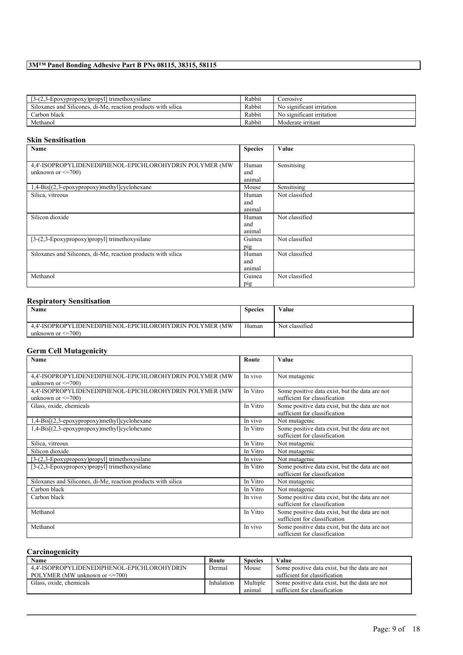| $[3-(2,3-Epoxyprop0xy)propyl]$ trimethoxysilane               | Rabbit | Corrosive                 |
|---------------------------------------------------------------|--------|---------------------------|
| Siloxanes and Silicones, di-Me, reaction products with silica | Rabbit | No significant irritation |
| Carbon black                                                  | Rabbit | No significant irritation |
| Methanol                                                      | Rabbit | Moderate irritant         |

### **Skin Sensitisation**

| Name                                                          | <b>Species</b> | Value          |
|---------------------------------------------------------------|----------------|----------------|
|                                                               |                |                |
| 4,4'-ISOPROPYLIDENEDIPHENOL-EPICHLOROHYDRIN POLYMER (MW       | Human          | Sensitising    |
| unknown or $\leq$ =700)                                       | and            |                |
|                                                               | animal         |                |
| $1,4-Bis[(2,3-epoxypropoxy)methyl]cyclohexane$                | Mouse          | Sensitising    |
| Silica, vitreous                                              | Human          | Not classified |
|                                                               | and            |                |
|                                                               | animal         |                |
| Silicon dioxide                                               | Human          | Not classified |
|                                                               | and            |                |
|                                                               | animal         |                |
| $[3-(2,3-Epoxypropoxy)propyl]$ trimethoxysilane               | Guinea         | Not classified |
|                                                               | pig            |                |
| Siloxanes and Silicones, di-Me, reaction products with silica | Human          | Not classified |
|                                                               | and            |                |
|                                                               | animal         |                |
| Methanol                                                      | Guinea         | Not classified |
|                                                               | pig            |                |

### **Respiratory Sensitisation**

| Name                                                     | <b>Species</b> | Value          |
|----------------------------------------------------------|----------------|----------------|
| 4.4'-ISOPROPYLIDENEDIPHENOL-EPICHLOROHYDRIN POLYMER (MW) | Human          | Not classified |
| unknown or $\leq$ =700)                                  |                |                |

### **Germ Cell Mutagenicity**

| Name                                                          | Route    | Value                                          |
|---------------------------------------------------------------|----------|------------------------------------------------|
|                                                               |          |                                                |
| 4,4'-ISOPROPYLIDENEDIPHENOL-EPICHLOROHYDRIN POLYMER (MW       | In vivo  | Not mutagenic                                  |
| unknown or $\leq$ =700)                                       |          |                                                |
| 4.4'-ISOPROPYLIDENEDIPHENOL-EPICHLOROHYDRIN POLYMER (MW       | In Vitro | Some positive data exist, but the data are not |
| unknown or $\leq$ =700)                                       |          | sufficient for classification                  |
| Glass, oxide, chemicals                                       | In Vitro | Some positive data exist, but the data are not |
|                                                               |          | sufficient for classification                  |
| 1,4-Bis[(2,3-epoxypropoxy)methyl]cyclohexane                  | In vivo  | Not mutagenic                                  |
| $1,4-Bis[(2,3-epoxypropoxy)methyl]cyclohexane$                | In Vitro | Some positive data exist, but the data are not |
|                                                               |          | sufficient for classification                  |
| Silica, vitreous                                              | In Vitro | Not mutagenic                                  |
| Silicon dioxide                                               | In Vitro | Not mutagenic                                  |
| [3-(2,3-Epoxypropoxy)propyl] trimethoxysilane                 | In vivo  | Not mutagenic                                  |
| [3-(2,3-Epoxypropoxy)propyl] trimethoxysilane                 | In Vitro | Some positive data exist, but the data are not |
|                                                               |          | sufficient for classification                  |
| Siloxanes and Silicones, di-Me, reaction products with silica | In Vitro | Not mutagenic                                  |
| Carbon black                                                  | In Vitro | Not mutagenic                                  |
| Carbon black                                                  | In vivo  | Some positive data exist, but the data are not |
|                                                               |          | sufficient for classification                  |
| Methanol                                                      | In Vitro | Some positive data exist, but the data are not |
|                                                               |          | sufficient for classification                  |
| Methanol                                                      | In vivo  | Some positive data exist, but the data are not |
|                                                               |          | sufficient for classification                  |

### **Carcinogenicity**

| Name                                        | Route      | <b>Species</b> | Value                                          |
|---------------------------------------------|------------|----------------|------------------------------------------------|
| 4.4'-ISOPROPYLIDENEDIPHENOL-EPICHLOROHYDRIN | Dermal     | Mouse          | Some positive data exist, but the data are not |
| POLYMER (MW unknown or $\leq$ =700)         |            |                | sufficient for classification                  |
| Glass, oxide, chemicals                     | Inhalation | Multiple       | Some positive data exist, but the data are not |
|                                             |            | animal         | sufficient for classification                  |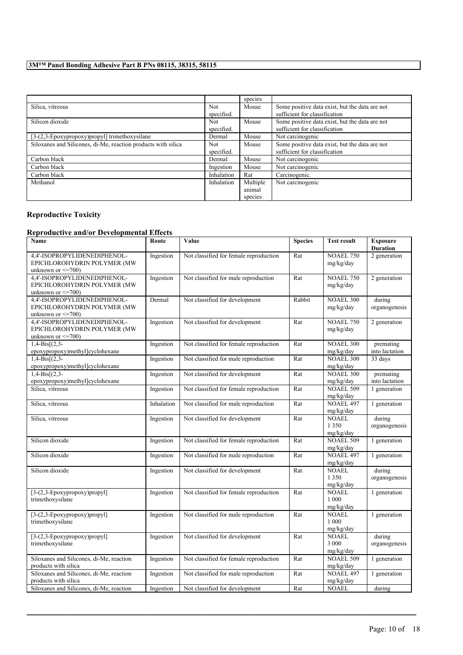|                                                               |                          | species  |                                                                                 |
|---------------------------------------------------------------|--------------------------|----------|---------------------------------------------------------------------------------|
| Silica, vitreous                                              | Not.<br>specified.       | Mouse    | Some positive data exist, but the data are not<br>sufficient for classification |
| Silicon dioxide                                               | <b>Not</b><br>specified. | Mouse    | Some positive data exist, but the data are not<br>sufficient for classification |
| [3-(2,3-Epoxypropoxy)propyl] trimethoxysilane                 | Dermal                   | Mouse    | Not carcinogenic                                                                |
| Siloxanes and Silicones, di-Me, reaction products with silica | Not<br>specified.        | Mouse    | Some positive data exist, but the data are not<br>sufficient for classification |
| Carbon black                                                  | Dermal                   | Mouse    | Not carcinogenic                                                                |
| Carbon black                                                  | Ingestion                | Mouse    | Not carcinogenic                                                                |
| Carbon black                                                  | Inhalation               | Rat      | Carcinogenic.                                                                   |
| Methanol                                                      | Inhalation               | Multiple | Not carcinogenic                                                                |
|                                                               |                          | animal   |                                                                                 |
|                                                               |                          | species  |                                                                                 |

### **Reproductive Toxicity**

### **Reproductive and/or Developmental Effects**

| Name                                                                                   | Route      | Value                                  | <b>Species</b> | <b>Test result</b>                   | <b>Exposure</b><br><b>Duration</b> |
|----------------------------------------------------------------------------------------|------------|----------------------------------------|----------------|--------------------------------------|------------------------------------|
| 4,4'-ISOPROPYLIDENEDIPHENOL-<br>EPICHLOROHYDRIN POLYMER (MW<br>unknown or $\leq$ =700) | Ingestion  | Not classified for female reproduction | Rat            | <b>NOAEL 750</b><br>mg/kg/day        | 2 generation                       |
| 4,4'-ISOPROPYLIDENEDIPHENOL-<br>EPICHLOROHYDRIN POLYMER (MW<br>unknown or $\leq$ =700) | Ingestion  | Not classified for male reproduction   | Rat            | <b>NOAEL 750</b><br>mg/kg/day        | 2 generation                       |
| 4,4'-ISOPROPYLIDENEDIPHENOL-<br>EPICHLOROHYDRIN POLYMER (MW<br>unknown or $\leq$ =700) | Dermal     | Not classified for development         | Rabbit         | <b>NOAEL 300</b><br>mg/kg/day        | during<br>organogenesis            |
| 4,4'-ISOPROPYLIDENEDIPHENOL-<br>EPICHLOROHYDRIN POLYMER (MW<br>unknown or $\leq$ =700) | Ingestion  | Not classified for development         | Rat            | <b>NOAEL 750</b><br>mg/kg/day        | 2 generation                       |
| $1,4-Bis[(2,3-$<br>epoxypropoxy)methyl]cyclohexane                                     | Ingestion  | Not classified for female reproduction | Rat            | <b>NOAEL 300</b><br>mg/kg/day        | premating<br>into lactation        |
| $1,4-Bis[(2,3-$<br>epoxypropoxy)methyl]cyclohexane                                     | Ingestion  | Not classified for male reproduction   | Rat            | <b>NOAEL 300</b><br>mg/kg/day        | 33 days                            |
| $1,4-\text{Bis}$ $(2,3-\$<br>epoxypropoxy)methyl]cyclohexane                           | Ingestion  | Not classified for development         | Rat            | <b>NOAEL 300</b><br>mg/kg/day        | premating<br>into lactation        |
| Silica, vitreous                                                                       | Ingestion  | Not classified for female reproduction | Rat            | <b>NOAEL 509</b><br>mg/kg/day        | 1 generation                       |
| Silica, vitreous                                                                       | Inhalation | Not classified for male reproduction   | Rat            | NOAEL 497<br>mg/kg/day               | 1 generation                       |
| Silica, vitreous                                                                       | Ingestion  | Not classified for development         | Rat            | <b>NOAEL</b><br>1 3 5 0<br>mg/kg/day | during<br>organogenesis            |
| Silicon dioxide                                                                        | Ingestion  | Not classified for female reproduction | Rat            | <b>NOAEL 509</b><br>mg/kg/day        | 1 generation                       |
| Silicon dioxide                                                                        | Ingestion  | Not classified for male reproduction   | Rat            | NOAEL 497<br>mg/kg/day               | 1 generation                       |
| Silicon dioxide                                                                        | Ingestion  | Not classified for development         | Rat            | <b>NOAEL</b><br>1 3 5 0<br>mg/kg/day | during<br>organogenesis            |
| $[3-(2,3-Epoxypropoxy)propyl]$<br>trimethoxysilane                                     | Ingestion  | Not classified for female reproduction | Rat            | <b>NOAEL</b><br>1 000<br>mg/kg/day   | 1 generation                       |
| $[3-(2,3-Epoxypropoxy)propyl]$<br>trimethoxysilane                                     | Ingestion  | Not classified for male reproduction   | Rat            | <b>NOAEL</b><br>1 000<br>mg/kg/day   | 1 generation                       |
| $[3-(2,3-Epoxypropoxy)propyl]$<br>trimethoxysilane                                     | Ingestion  | Not classified for development         | Rat            | <b>NOAEL</b><br>3 000<br>mg/kg/day   | during<br>organogenesis            |
| Siloxanes and Silicones, di-Me, reaction<br>products with silica                       | Ingestion  | Not classified for female reproduction | Rat            | <b>NOAEL 509</b><br>mg/kg/day        | 1 generation                       |
| Siloxanes and Silicones, di-Me, reaction<br>products with silica                       | Ingestion  | Not classified for male reproduction   | Rat            | <b>NOAEL 497</b><br>mg/kg/day        | 1 generation                       |
| Siloxanes and Silicones, di-Me, reaction                                               | Ingestion  | Not classified for development         | Rat            | <b>NOAEL</b>                         | during                             |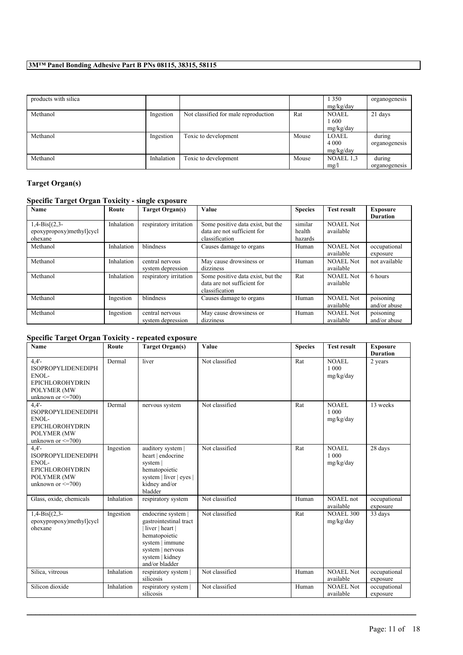| products with silica |            |                                      |       | 1 350        | organogenesis |
|----------------------|------------|--------------------------------------|-------|--------------|---------------|
|                      |            |                                      |       | mg/kg/day    |               |
| Methanol             | Ingestion  | Not classified for male reproduction | Rat   | <b>NOAEL</b> | 21 days       |
|                      |            |                                      |       | 1 600        |               |
|                      |            |                                      |       | mg/kg/day    |               |
| Methanol             | Ingestion  | Toxic to development                 | Mouse | <b>LOAEL</b> | during        |
|                      |            |                                      |       | 4 0 0 0      | organogenesis |
|                      |            |                                      |       | mg/kg/day    |               |
| Methanol             | Inhalation | Toxic to development                 | Mouse | NOAEL 1.3    | during        |
|                      |            |                                      |       | mg/l         | organogenesis |

### **Target Organ(s)**

### **Specific Target Organ Toxicity - single exposure**

| Name                                                   | Route      | Target Organ(s)                      | Value                                                                              | <b>Species</b>               | <b>Test result</b>            | <b>Exposure</b><br><b>Duration</b> |
|--------------------------------------------------------|------------|--------------------------------------|------------------------------------------------------------------------------------|------------------------------|-------------------------------|------------------------------------|
| $1,4-Bis[(2,3-$<br>epoxypropoxy)methyl]cycl<br>ohexane | Inhalation | respiratory irritation               | Some positive data exist, but the<br>data are not sufficient for<br>classification | similar<br>health<br>hazards | <b>NOAEL Not</b><br>available |                                    |
| Methanol                                               | Inhalation | blindness                            | Causes damage to organs                                                            | Human                        | <b>NOAEL Not</b><br>available | occupational<br>exposure           |
| Methanol                                               | Inhalation | central nervous<br>system depression | May cause drowsiness or<br>dizziness                                               | Human                        | <b>NOAEL Not</b><br>available | not available                      |
| Methanol                                               | Inhalation | respiratory irritation               | Some positive data exist, but the<br>data are not sufficient for<br>classification | Rat                          | <b>NOAEL Not</b><br>available | 6 hours                            |
| Methanol                                               | Ingestion  | blindness                            | Causes damage to organs                                                            | Human                        | <b>NOAEL Not</b><br>available | poisoning<br>and/or abuse          |
| Methanol                                               | Ingestion  | central nervous<br>system depression | May cause drowsiness or<br>dizziness                                               | Human                        | <b>NOAEL Not</b><br>available | poisoning<br>and/or abuse          |

# **Specific Target Organ Toxicity - repeated exposure**

| Name                                                                                                                    | Route      | <b>Target Organ(s)</b>                                                                                                                                       | Value          | <b>Species</b> | <b>Test result</b>                 | <b>Exposure</b><br><b>Duration</b> |
|-------------------------------------------------------------------------------------------------------------------------|------------|--------------------------------------------------------------------------------------------------------------------------------------------------------------|----------------|----------------|------------------------------------|------------------------------------|
| 4.4'<br><b>ISOPROPYLIDENEDIPH</b><br>$ENOL-$<br><b>EPICHLOROHYDRIN</b><br><b>POLYMER (MW</b><br>unknown or $\leq$ =700) | Dermal     | liver                                                                                                                                                        | Not classified | Rat            | <b>NOAEL</b><br>1 000<br>mg/kg/day | 2 years                            |
| 4.4'<br><b>ISOPROPYLIDENEDIPH</b><br>$ENOL-$<br><b>EPICHLOROHYDRIN</b><br><b>POLYMER (MW</b><br>unknown or $\leq$ =700) | Dermal     | nervous system                                                                                                                                               | Not classified | Rat            | NOAEL<br>1 000<br>mg/kg/day        | 13 weeks                           |
| 4.4'<br><b>ISOPROPYLIDENEDIPH</b><br>ENOL-<br><b>EPICHLOROHYDRIN</b><br>POLYMER (MW<br>unknown or $\leq$ =700)          | Ingestion  | auditory system  <br>heart   endocrine<br>system  <br>hematopoietic<br>system   liver   eyes  <br>kidney and/or<br>bladder                                   | Not classified | Rat            | <b>NOAEL</b><br>1 000<br>mg/kg/day | 28 days                            |
| Glass, oxide, chemicals                                                                                                 | Inhalation | respiratory system                                                                                                                                           | Not classified | Human          | <b>NOAEL</b> not<br>available      | occupational<br>exposure           |
| $1,4-Bis[(2,3-$<br>epoxypropoxy)methyl]cycl<br>ohexane                                                                  | Ingestion  | endocrine system  <br>gastrointestinal tract<br>liver   heart  <br>hematopoietic<br>system   immune<br>system   nervous<br>system   kidney<br>and/or bladder | Not classified | Rat            | <b>NOAEL 300</b><br>mg/kg/day      | 33 days                            |
| Silica, vitreous                                                                                                        | Inhalation | respiratory system<br>silicosis                                                                                                                              | Not classified | Human          | NOAEL Not<br>available             | occupational<br>exposure           |
| Silicon dioxide                                                                                                         | Inhalation | respiratory system<br>silicosis                                                                                                                              | Not classified | Human          | <b>NOAEL Not</b><br>available      | occupational<br>exposure           |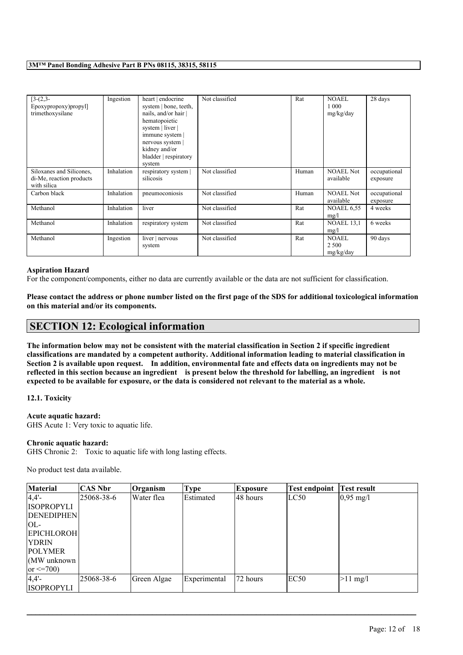| $[3-(2,3-$<br>Epoxypropoxy)propyl]<br>trimethoxysilane              | Ingestion  | heart   endocrine<br>system   bone, teeth,<br>nails, and/or hair<br>hematopoietic<br>system   liver<br>immune system  <br>nervous system<br>kidney and/or<br>bladder   respiratory<br>system | Not classified | Rat   | <b>NOAEL</b><br>1 000<br>mg/kg/day | 28 days                  |
|---------------------------------------------------------------------|------------|----------------------------------------------------------------------------------------------------------------------------------------------------------------------------------------------|----------------|-------|------------------------------------|--------------------------|
| Siloxanes and Silicones.<br>di-Me, reaction products<br>with silica | Inhalation | respiratory system<br>silicosis                                                                                                                                                              | Not classified | Human | <b>NOAEL Not</b><br>available      | occupational<br>exposure |
| Carbon black                                                        | Inhalation | pneumoconiosis                                                                                                                                                                               | Not classified | Human | <b>NOAEL Not</b><br>available      | occupational<br>exposure |
| Methanol                                                            | Inhalation | liver                                                                                                                                                                                        | Not classified | Rat   | <b>NOAEL 6.55</b><br>mg/l          | 4 weeks                  |
| Methanol                                                            | Inhalation | respiratory system                                                                                                                                                                           | Not classified | Rat   | <b>NOAEL 13.1</b><br>mg/l          | 6 weeks                  |
| Methanol                                                            | Ingestion  | $liver$   nervous<br>system                                                                                                                                                                  | Not classified | Rat   | <b>NOAEL</b><br>2 500<br>mg/kg/day | 90 days                  |

#### **Aspiration Hazard**

For the component/components, either no data are currently available or the data are not sufficient for classification.

Please contact the address or phone number listed on the first page of the SDS for additional toxicological information **on this material and/or its components.**

# **SECTION 12: Ecological information**

The information below may not be consistent with the material classification in Section 2 if specific ingredient **classifications are mandated by a competent authority. Additional information leading to material classification in** Section 2 is available upon request. In addition, environmental fate and effects data on ingredients may not be reflected in this section because an ingredient is present below the threshold for labelling, an ingredient is not expected to be available for exposure, or the data is considered not relevant to the material as a whole.

#### **12.1. Toxicity**

#### **Acute aquatic hazard:**

GHS Acute 1: Very toxic to aquatic life.

#### **Chronic aquatic hazard:**

GHS Chronic 2: Toxic to aquatic life with long lasting effects.

No product test data available.

| <b>Material</b>   | $ CAS$ Nbr | <b>Organism</b> | <b>Type</b>  | <b>Exposure</b> | <b>Test endpoint Test result</b> |                     |
|-------------------|------------|-----------------|--------------|-----------------|----------------------------------|---------------------|
| $4,4'$ -          | 25068-38-6 | Water flea      | Estimated    | 148 hours       | LC50                             | $0,95 \text{ mg}/1$ |
| <b>ISOPROPYLI</b> |            |                 |              |                 |                                  |                     |
| <b>DENEDIPHEN</b> |            |                 |              |                 |                                  |                     |
| OL-               |            |                 |              |                 |                                  |                     |
| <b>EPICHLOROH</b> |            |                 |              |                 |                                  |                     |
| <b>YDRIN</b>      |            |                 |              |                 |                                  |                     |
| <b>POLYMER</b>    |            |                 |              |                 |                                  |                     |
| (MW unknown)      |            |                 |              |                 |                                  |                     |
| or $\leq$ 700)    |            |                 |              |                 |                                  |                     |
| 4,4'              | 25068-38-6 | Green Algae     | Experimental | 172 hours       | EC50                             | $>11$ mg/l          |
| <b>ISOPROPYLI</b> |            |                 |              |                 |                                  |                     |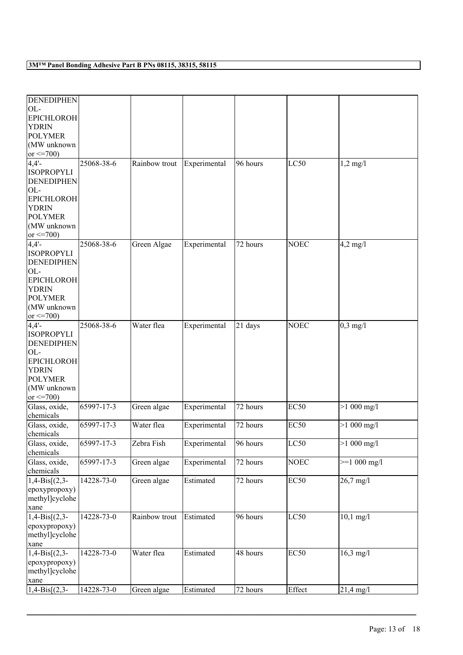| <b>DENEDIPHEN</b>        |                  |               |              |          |                  |                     |
|--------------------------|------------------|---------------|--------------|----------|------------------|---------------------|
| OL-                      |                  |               |              |          |                  |                     |
| <b>EPICHLOROH</b>        |                  |               |              |          |                  |                     |
| <b>YDRIN</b>             |                  |               |              |          |                  |                     |
| <b>POLYMER</b>           |                  |               |              |          |                  |                     |
| (MW unknown              |                  |               |              |          |                  |                     |
| or $\leq$ 700)           |                  |               |              |          |                  |                     |
| $4,4'$ -                 | 25068-38-6       | Rainbow trout | Experimental | 96 hours | LC50             | $1,2$ mg/l          |
| <b>ISOPROPYLI</b>        |                  |               |              |          |                  |                     |
| <b>DENEDIPHEN</b>        |                  |               |              |          |                  |                     |
| OL-                      |                  |               |              |          |                  |                     |
| <b>EPICHLOROH</b>        |                  |               |              |          |                  |                     |
| <b>YDRIN</b>             |                  |               |              |          |                  |                     |
| <b>POLYMER</b>           |                  |               |              |          |                  |                     |
| (MW unknown              |                  |               |              |          |                  |                     |
| or $\leq$ 700)           |                  |               |              |          |                  |                     |
| $4,4'$ -                 | 25068-38-6       |               |              | 72 hours | <b>NOEC</b>      |                     |
|                          |                  | Green Algae   | Experimental |          |                  | $4,2$ mg/l          |
| <b>ISOPROPYLI</b>        |                  |               |              |          |                  |                     |
| <b>DENEDIPHEN</b><br>OL- |                  |               |              |          |                  |                     |
| <b>EPICHLOROH</b>        |                  |               |              |          |                  |                     |
| <b>YDRIN</b>             |                  |               |              |          |                  |                     |
|                          |                  |               |              |          |                  |                     |
| <b>POLYMER</b>           |                  |               |              |          |                  |                     |
| (MW unknown              |                  |               |              |          |                  |                     |
| or $\leq$ 700)           |                  |               |              |          |                  |                     |
| $4,4'$ -                 | 25068-38-6       | Water flea    | Experimental | 21 days  | <b>NOEC</b>      | $0,3$ mg/l          |
| <b>ISOPROPYLI</b>        |                  |               |              |          |                  |                     |
| <b>DENEDIPHEN</b>        |                  |               |              |          |                  |                     |
| OL-                      |                  |               |              |          |                  |                     |
| <b>EPICHLOROH</b>        |                  |               |              |          |                  |                     |
| <b>YDRIN</b>             |                  |               |              |          |                  |                     |
| <b>POLYMER</b>           |                  |               |              |          |                  |                     |
| (MW unknown              |                  |               |              |          |                  |                     |
| or $\leq$ 700)           |                  |               |              |          |                  |                     |
| Glass, oxide,            | 65997-17-3       | Green algae   | Experimental | 72 hours | <b>EC50</b>      | $>1000$ mg/l        |
| chemicals                |                  |               |              |          |                  |                     |
| Glass, oxide,            | 65997-17-3       | Water flea    | Experimental | 72 hours | <b>EC50</b>      | $>1000$ mg/l        |
| chemicals                |                  |               |              |          |                  |                     |
| Glass, oxide,            | 65997-17-3       | Zebra Fish    | Experimental | 96 hours | LC50             | $>1000$ mg/l        |
| chemicals                |                  |               |              |          |                  |                     |
| Glass, oxide,            | 65997-17-3       | Green algae   | Experimental | 72 hours | <b>NOEC</b>      | $>=1000$ mg/l       |
| chemicals                |                  |               |              |          |                  |                     |
| $1,4-Bis[(2,3-$          | 14228-73-0       | Green algae   | Estimated    | 72 hours | <b>EC50</b>      | $26,7 \text{ mg}/1$ |
| epoxypropoxy)            |                  |               |              |          |                  |                     |
| methyl]cyclohe           |                  |               |              |          |                  |                     |
| xane                     |                  |               |              |          |                  |                     |
| $1,4-Bis[(2,3-$          | 14228-73-0       | Rainbow trout | Estimated    | 96 hours | LC50             | $10,1 \text{ mg}/1$ |
| epoxypropoxy)            |                  |               |              |          |                  |                     |
| methyl]cyclohe           |                  |               |              |          |                  |                     |
| xane                     |                  |               |              |          |                  |                     |
| $1,4-Bis[(2,3-$          | $14228 - 73 - 0$ | Water flea    | Estimated    | 48 hours | EC <sub>50</sub> | $16,3$ mg/l         |
| epoxypropoxy)            |                  |               |              |          |                  |                     |
| methyl]cyclohe           |                  |               |              |          |                  |                     |
| xane                     |                  |               |              |          |                  |                     |
| $1,4-Bis[(2,3-$          | 14228-73-0       | Green algae   | Estimated    | 72 hours | Effect           | $21,4 \text{ mg}/1$ |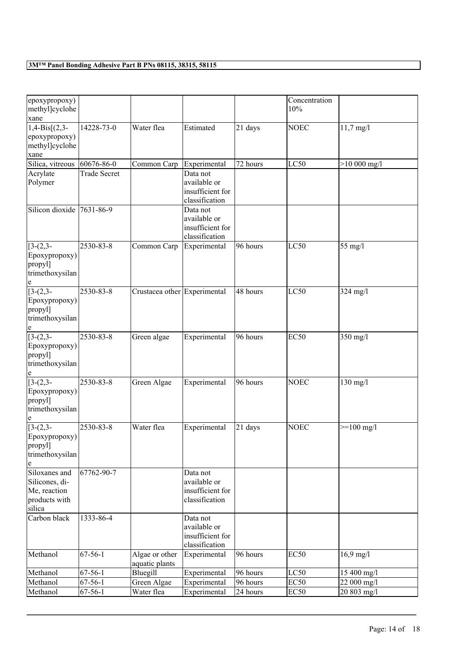| epoxypropoxy)<br>methyl]cyclohe<br>xane                                    |                     |                                  |                                                                |          | Concentration<br>10% |                     |
|----------------------------------------------------------------------------|---------------------|----------------------------------|----------------------------------------------------------------|----------|----------------------|---------------------|
| $1,4-Bis[(2,3-$<br>epoxypropoxy)<br>methyl]cyclohe<br>xane                 | 14228-73-0          | Water flea                       | Estimated                                                      | 21 days  | <b>NOEC</b>          | $11,7 \text{ mg}/1$ |
| Silica, vitreous                                                           | $60676 - 86 - 0$    | Common Carp                      | Experimental                                                   | 72 hours | LC50                 | $>10000$ mg/l       |
| Acrylate<br>Polymer                                                        | <b>Trade Secret</b> |                                  | Data not<br>available or<br>insufficient for<br>classification |          |                      |                     |
| Silicon dioxide                                                            | 7631-86-9           |                                  | Data not<br>available or<br>insufficient for<br>classification |          |                      |                     |
| $[3-(2,3-$<br>Epoxypropoxy)<br>propyl]<br>trimethoxysilan<br>e             | 2530-83-8           | Common Carp                      | Experimental                                                   | 96 hours | LC50                 | 55 mg/l             |
| $[3-(2,3-$<br>Epoxypropoxy)<br>propyl]<br>trimethoxysilan<br>e             | 2530-83-8           | Crustacea other Experimental     |                                                                | 48 hours | LC50                 | 324 mg/l            |
| $[3-(2,3-$<br>Epoxypropoxy)<br>propyl]<br>trimethoxysilan<br>e             | 2530-83-8           | Green algae                      | Experimental                                                   | 96 hours | <b>EC50</b>          | 350 mg/l            |
| $\sqrt{3-(2,3-1)}$<br>Epoxypropoxy)<br>propyl]<br>trimethoxysilan<br>e     | 2530-83-8           | Green Algae                      | Experimental                                                   | 96 hours | <b>NOEC</b>          | 130 mg/l            |
| $[3-(2,3-$<br>Epoxypropoxy)<br>propyl]<br>trimethoxysilan<br>e             | 2530-83-8           | Water flea                       | Experimental                                                   | 21 days  | <b>NOEC</b>          | $>=100$ mg/l        |
| Siloxanes and<br>Silicones, di-<br>Me, reaction<br>products with<br>silica | 67762-90-7          |                                  | Data not<br>available or<br>insufficient for<br>classification |          |                      |                     |
| Carbon black                                                               | 1333-86-4           |                                  | Data not<br>available or<br>insufficient for<br>classification |          |                      |                     |
| Methanol                                                                   | $67 - 56 - 1$       | Algae or other<br>aquatic plants | Experimental                                                   | 96 hours | <b>EC50</b>          | $16.9$ mg/l         |
| Methanol                                                                   | $67 - 56 - 1$       | Bluegill                         | Experimental                                                   | 96 hours | LC50                 | 15 400 mg/l         |
| Methanol                                                                   | $67 - 56 - 1$       | Green Algae                      | Experimental                                                   | 96 hours | EC <sub>50</sub>     | 22 000 mg/l         |
| Methanol                                                                   | $67 - 56 - 1$       | Water flea                       | Experimental                                                   | 24 hours | EC50                 | 20 803 mg/l         |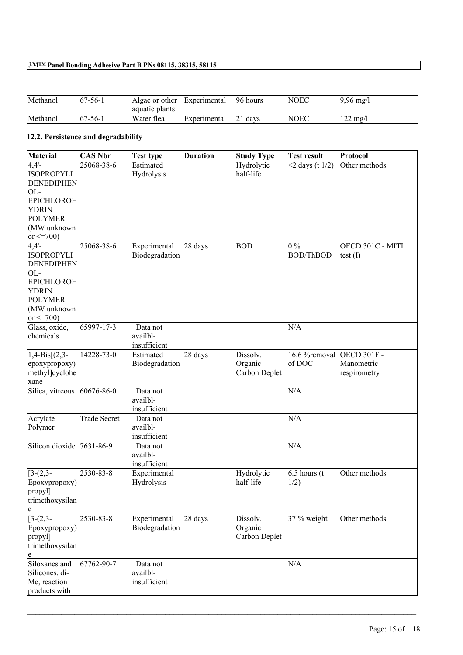| Methanol | $167 - 56 - 1$ | Algae or other | Experimental        | 196 hours  | INOEC | $9.96 \,\mathrm{mg}/1$ |
|----------|----------------|----------------|---------------------|------------|-------|------------------------|
|          |                | aquatic plants |                     |            |       |                        |
| Methanol | $167 - 56 - 1$ | Water flea     | <b>Experimental</b> | 21<br>davs | NOEC  | 122 mg/l               |

### **12.2. Persistence and degradability**

| <b>Material</b>                                                                                                                                   | <b>CAS Nbr</b>      | <b>Test type</b>                     | <b>Duration</b> | <b>Study Type</b>                    | <b>Test result</b>        | Protocol                                         |
|---------------------------------------------------------------------------------------------------------------------------------------------------|---------------------|--------------------------------------|-----------------|--------------------------------------|---------------------------|--------------------------------------------------|
| $4,4'$ -<br><b>ISOPROPYLI</b><br><b>DENEDIPHEN</b><br>OL-<br><b>EPICHLOROH</b><br><b>YDRIN</b><br><b>POLYMER</b><br>(MW unknown<br>or $\leq$ 700) | 25068-38-6          | Estimated<br>Hydrolysis              |                 | Hydrolytic<br>half-life              | $<$ 2 days (t 1/2)        | Other methods                                    |
| $4,4'$ -<br><b>ISOPROPYLI</b><br><b>DENEDIPHEN</b><br>OL-<br><b>EPICHLOROH</b><br><b>YDRIN</b><br><b>POLYMER</b><br>(MW unknown<br>or $\leq$ 700) | 25068-38-6          | Experimental<br>Biodegradation       | 28 days         | <b>BOD</b>                           | $0\%$<br><b>BOD/ThBOD</b> | OECD 301C - MITI<br>test $(I)$                   |
| Glass, oxide,<br>chemicals                                                                                                                        | 65997-17-3          | Data not<br>availbl-<br>insufficient |                 |                                      | N/A                       |                                                  |
| $1,4-Bis[(2,3-$<br>epoxypropoxy)<br>methyl]cyclohe<br>xane                                                                                        | 14228-73-0          | Estimated<br>Biodegradation          | 28 days         | Dissolv.<br>Organic<br>Carbon Deplet | 16.6 % removal<br>of DOC  | <b>OECD 301F -</b><br>Manometric<br>respirometry |
| Silica, vitreous                                                                                                                                  | $ 60676 - 86 - 0 $  | Data not<br>availbl-<br>insufficient |                 |                                      | N/A                       |                                                  |
| Acrylate<br>Polymer                                                                                                                               | <b>Trade Secret</b> | Data not<br>availbl-<br>insufficient |                 |                                      | N/A                       |                                                  |
| Silicon dioxide                                                                                                                                   | 7631-86-9           | Data not<br>availbl-<br>insufficient |                 |                                      | N/A                       |                                                  |
| $[3-(2,3-$<br>Epoxypropoxy)<br>propyl]<br>trimethoxysilan<br>e                                                                                    | 2530-83-8           | Experimental<br>Hydrolysis           |                 | Hydrolytic<br>half-life              | $6.5$ hours (t<br>1/2)    | Other methods                                    |
| $\sqrt{3-(2,3-1)}$<br>Epoxypropoxy)<br>propyl]<br>trimethoxysilan<br>e                                                                            | 2530-83-8           | Experimental<br>Biodegradation       | 28 days         | Dissolv.<br>Organic<br>Carbon Deplet | 37 % weight               | Other methods                                    |
| Siloxanes and<br>Silicones, di-<br>Me, reaction<br>products with                                                                                  | 67762-90-7          | Data not<br>availbl-<br>insufficient |                 |                                      | N/A                       |                                                  |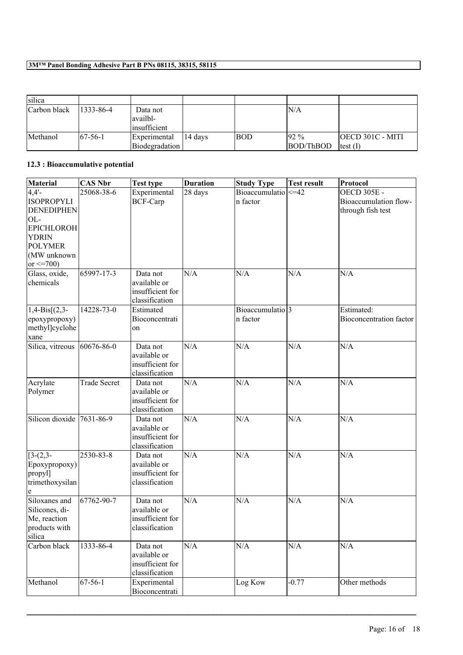| silica       |                |                |           |            |                  |                         |
|--------------|----------------|----------------|-----------|------------|------------------|-------------------------|
| Carbon black | 1333-86-4      | Data not       |           |            | IN/A             |                         |
|              |                | lavailbl-      |           |            |                  |                         |
|              |                | linsufficient  |           |            |                  |                         |
| Methanol     | $167 - 56 - 1$ | Experimental   | $14$ days | <b>BOD</b> | $192\%$          | <b>OECD 301C - MITI</b> |
|              |                | Biodegradation |           |            | <b>BOD/ThBOD</b> | test(I)                 |

### **12.3 : Bioaccumulative potential**

| <b>Material</b>                                                                                                                                   | <b>CAS Nbr</b>      | <b>Test type</b>                                               | <b>Duration</b> | <b>Study Type</b>                       | <b>Test result</b> | Protocol                                                         |
|---------------------------------------------------------------------------------------------------------------------------------------------------|---------------------|----------------------------------------------------------------|-----------------|-----------------------------------------|--------------------|------------------------------------------------------------------|
| $4,4'$ -<br><b>ISOPROPYLI</b><br><b>DENEDIPHEN</b><br>OL-<br><b>EPICHLOROH</b><br><b>YDRIN</b><br><b>POLYMER</b><br>(MW unknown<br>or $\leq$ 700) | 25068-38-6          | Experimental<br><b>BCF-Carp</b>                                | 28 days         | Bioaccumulatio<br>n factor              | $\leq=42$          | <b>OECD 305E -</b><br>Bioaccumulation flow-<br>through fish test |
| Glass, oxide,<br>chemicals                                                                                                                        | 65997-17-3          | Data not<br>available or<br>insufficient for<br>classification | N/A             | N/A                                     | N/A                | N/A                                                              |
| $1,4-Bis[(2,3-$<br>epoxypropoxy)<br>methyl]cyclohe<br>xane                                                                                        | 14228-73-0          | Estimated<br>Bioconcentrati<br>on                              |                 | Bioaccumulatio <sup>3</sup><br>n factor |                    | Estimated:<br><b>Bioconcentration factor</b>                     |
| Silica, vitreous                                                                                                                                  | 60676-86-0          | Data not<br>available or<br>insufficient for<br>classification | N/A             | N/A                                     | N/A                | N/A                                                              |
| Acrylate<br>Polymer                                                                                                                               | <b>Trade Secret</b> | Data not<br>available or<br>insufficient for<br>classification | N/A             | N/A                                     | N/A                | N/A                                                              |
| Silicon dioxide                                                                                                                                   | 7631-86-9           | Data not<br>available or<br>insufficient for<br>classification | N/A             | N/A                                     | N/A                | N/A                                                              |
| $[3-(2,3-$<br>Epoxypropoxy)<br>propyl]<br>trimethoxysilan<br>e                                                                                    | 2530-83-8           | Data not<br>available or<br>insufficient for<br>classification | N/A             | N/A                                     | N/A                | N/A                                                              |
| Siloxanes and<br>Silicones, di-<br>Me, reaction<br>products with<br>silica                                                                        | 67762-90-7          | Data not<br>available or<br>insufficient for<br>classification | N/A             | N/A                                     | N/A                | N/A                                                              |
| Carbon black                                                                                                                                      | 1333-86-4           | Data not<br>available or<br>insufficient for<br>classification | N/A             | N/A                                     | N/A                | N/A                                                              |
| Methanol                                                                                                                                          | $67 - 56 - 1$       | Experimental<br>Bioconcentrati                                 |                 | Log Kow                                 | $-0.77$            | Other methods                                                    |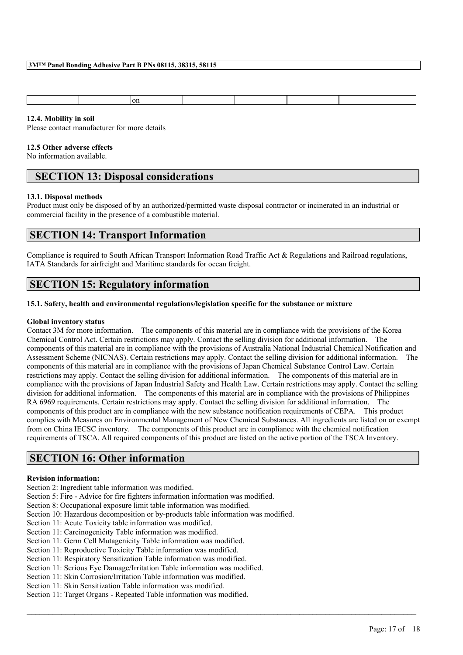|  | - |  |  |
|--|---|--|--|
|  |   |  |  |
|  |   |  |  |
|  |   |  |  |

#### **12.4. Mobility in soil**

Please contact manufacturer for more details

#### **12.5 Other adverse effects**

No information available.

# **SECTION 13: Disposal considerations**

#### **13.1. Disposal methods**

Product must only be disposed of by an authorized/permitted waste disposal contractor or incinerated in an industrial or commercial facility in the presence of a combustible material.

# **SECTION 14: Transport Information**

Compliance is required to South African Transport Information Road Traffic Act & Regulations and Railroad regulations, IATA Standards for airfreight and Maritime standards for ocean freight.

# **SECTION 15: Regulatory information**

#### **15.1. Safety, health and environmental regulations/legislation specific for the substance or mixture**

#### **Global inventory status**

Contact 3M for more information. The components of this material are in compliance with the provisions of the Korea Chemical Control Act. Certain restrictions may apply. Contact the selling division for additional information. The components of this material are in compliance with the provisions of Australia National Industrial Chemical Notification and Assessment Scheme (NICNAS). Certain restrictions may apply. Contact the selling division for additional information. The components of this material are in compliance with the provisions of Japan Chemical Substance Control Law. Certain restrictions may apply. Contact the selling division for additional information. The components of this material are in compliance with the provisions of Japan Industrial Safety and Health Law. Certain restrictions may apply. Contact the selling division for additional information. The components of this material are in compliance with the provisions of Philippines RA 6969 requirements. Certain restrictions may apply. Contact the selling division for additional information. The components of this product are in compliance with the new substance notification requirements of CEPA. This product complies with Measures on Environmental Management of New Chemical Substances. All ingredients are listed on or exempt from on China IECSC inventory. The components of this product are in compliance with the chemical notification requirements of TSCA. All required components of this product are listed on the active portion of the TSCA Inventory.

 $\mathcal{L}_\mathcal{L} = \mathcal{L}_\mathcal{L} = \mathcal{L}_\mathcal{L} = \mathcal{L}_\mathcal{L} = \mathcal{L}_\mathcal{L} = \mathcal{L}_\mathcal{L} = \mathcal{L}_\mathcal{L} = \mathcal{L}_\mathcal{L} = \mathcal{L}_\mathcal{L} = \mathcal{L}_\mathcal{L} = \mathcal{L}_\mathcal{L} = \mathcal{L}_\mathcal{L} = \mathcal{L}_\mathcal{L} = \mathcal{L}_\mathcal{L} = \mathcal{L}_\mathcal{L} = \mathcal{L}_\mathcal{L} = \mathcal{L}_\mathcal{L}$ 

# **SECTION 16: Other information**

#### **Revision information:**

- Section 2: Ingredient table information was modified.
- Section 5: Fire Advice for fire fighters information information was modified.
- Section 8: Occupational exposure limit table information was modified.
- Section 10: Hazardous decomposition or by-products table information was modified.
- Section 11: Acute Toxicity table information was modified.
- Section 11: Carcinogenicity Table information was modified.
- Section 11: Germ Cell Mutagenicity Table information was modified.
- Section 11: Reproductive Toxicity Table information was modified.
- Section 11: Respiratory Sensitization Table information was modified.
- Section 11: Serious Eye Damage/Irritation Table information was modified.
- Section 11: Skin Corrosion/Irritation Table information was modified
- Section 11: Skin Sensitization Table information was modified.
- Section 11: Target Organs Repeated Table information was modified.